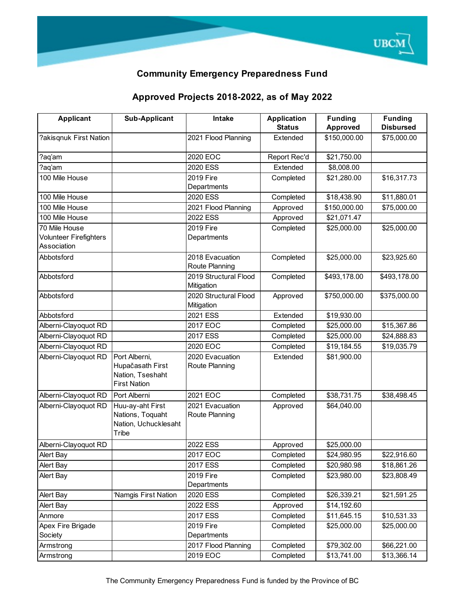

## **Community Emergency Preparedness Fund**

## **Approved Projects 2018-2022, as of May 2022**

| <b>Applicant</b>       | <b>Sub-Applicant</b>          | <b>Intake</b>         | <b>Application</b> | <b>Funding</b> | <b>Funding</b>   |
|------------------------|-------------------------------|-----------------------|--------------------|----------------|------------------|
|                        |                               |                       | <b>Status</b>      | Approved       | <b>Disbursed</b> |
| ?akisgnuk First Nation |                               | 2021 Flood Planning   | Extended           | \$150,000.00   | \$75,000.00      |
| aq'am?                 |                               | 2020 EOC              | Report Rec'd       | \$21,750.00    |                  |
| ?aq'am                 |                               | 2020 ESS              | Extended           | \$8,008.00     |                  |
| 100 Mile House         |                               | 2019 Fire             | Completed          | \$21,280.00    | \$16,317.73      |
|                        |                               | Departments           |                    |                |                  |
| 100 Mile House         |                               | 2020 ESS              | Completed          | \$18,438.90    | \$11,880.01      |
| 100 Mile House         |                               | 2021 Flood Planning   | Approved           | \$150,000.00   | \$75,000.00      |
| 100 Mile House         |                               | 2022 ESS              | Approved           | \$21,071.47    |                  |
| 70 Mile House          |                               | 2019 Fire             | Completed          | \$25,000.00    | \$25,000.00      |
| Volunteer Firefighters |                               | Departments           |                    |                |                  |
| Association            |                               |                       |                    |                |                  |
| Abbotsford             |                               | 2018 Evacuation       | Completed          | \$25,000.00    | \$23,925.60      |
|                        |                               | Route Planning        |                    |                |                  |
| Abbotsford             |                               | 2019 Structural Flood | Completed          | \$493,178.00   | \$493,178.00     |
|                        |                               | Mitigation            |                    |                |                  |
| Abbotsford             |                               | 2020 Structural Flood | Approved           | \$750,000.00   | \$375,000.00     |
|                        |                               | Mitigation            |                    |                |                  |
| Abbotsford             |                               | 2021 ESS              | Extended           | \$19,930.00    |                  |
| Alberni-Clayoquot RD   |                               | 2017 EOC              | Completed          | \$25,000.00    | \$15,367.86      |
| Alberni-Clayoquot RD   |                               | 2017 ESS              | Completed          | \$25,000.00    | \$24,888.83      |
| Alberni-Clayoquot RD   |                               | 2020 EOC              | Completed          | \$19,184.55    | \$19,035.79      |
| Alberni-Clayoquot RD   | Port Alberni,                 | 2020 Evacuation       | Extended           | \$81,900.00    |                  |
|                        | Hupačasath First              | Route Planning        |                    |                |                  |
|                        | Nation, Tseshaht              |                       |                    |                |                  |
|                        | <b>First Nation</b>           |                       |                    |                |                  |
| Alberni-Clayoquot RD   | Port Alberni                  | 2021 EOC              | Completed          | \$38,731.75    | \$38,498.45      |
| Alberni-Clayoquot RD   | Huu-ay-aht First              | 2021 Evacuation       | Approved           | \$64,040.00    |                  |
|                        | Nations, Toquaht              | Route Planning        |                    |                |                  |
|                        | Nation, Uchucklesaht<br>Tribe |                       |                    |                |                  |
| Alberni-Clayoquot RD   |                               | 2022 ESS              | Approved           | \$25,000.00    |                  |
| Alert Bay              |                               | 2017 EOC              | Completed          | \$24,980.95    | \$22,916.60      |
| Alert Bay              |                               | 2017 ESS              | Completed          | \$20,980.98    | \$18,861.26      |
|                        |                               | 2019 Fire             |                    |                | \$23,808.49      |
| Alert Bay              |                               | Departments           | Completed          | \$23,980.00    |                  |
| Alert Bay              | 'Namgis First Nation          | 2020 ESS              | Completed          | \$26,339.21    | \$21,591.25      |
| Alert Bay              |                               | 2022 ESS              | Approved           | \$14,192.60    |                  |
| Anmore                 |                               | 2017 ESS              | Completed          | \$11,645.15    | \$10,531.33      |
| Apex Fire Brigade      |                               | 2019 Fire             | Completed          | \$25,000.00    | \$25,000.00      |
| Society                |                               | Departments           |                    |                |                  |
| Armstrong              |                               | 2017 Flood Planning   | Completed          | \$79,302.00    | \$66,221.00      |
| Armstrong              |                               | 2019 EOC              | Completed          | \$13,741.00    | \$13,366.14      |
|                        |                               |                       |                    |                |                  |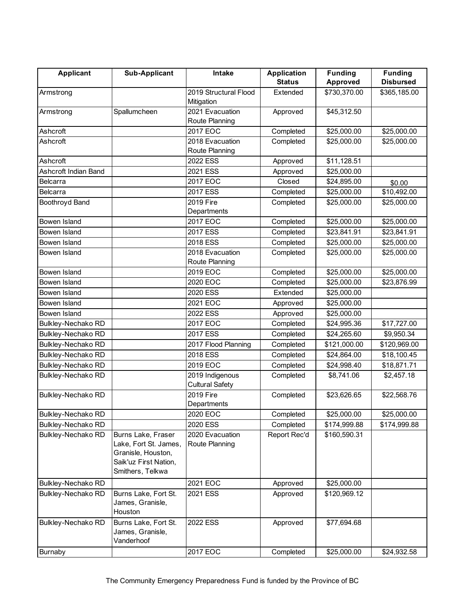| <b>Applicant</b>          | <b>Sub-Applicant</b>                                                                                           | Intake                                    | <b>Application</b> | <b>Funding</b> | <b>Funding</b>   |
|---------------------------|----------------------------------------------------------------------------------------------------------------|-------------------------------------------|--------------------|----------------|------------------|
|                           |                                                                                                                |                                           | <b>Status</b>      | Approved       | <b>Disbursed</b> |
| Armstrong                 |                                                                                                                | 2019 Structural Flood<br>Mitigation       | Extended           | \$730,370.00   | \$365,185.00     |
| Armstrong                 | Spallumcheen                                                                                                   | 2021 Evacuation<br>Route Planning         | Approved           | \$45,312.50    |                  |
| Ashcroft                  |                                                                                                                | 2017 EOC                                  | Completed          | \$25,000.00    | \$25,000.00      |
| Ashcroft                  |                                                                                                                | 2018 Evacuation<br>Route Planning         | Completed          | \$25,000.00    | \$25,000.00      |
| Ashcroft                  |                                                                                                                | 2022 ESS                                  | Approved           | \$11,128.51    |                  |
| Ashcroft Indian Band      |                                                                                                                | 2021 ESS                                  |                    |                |                  |
|                           |                                                                                                                | 2017 EOC                                  | Approved           | \$25,000.00    |                  |
| <b>Belcarra</b>           |                                                                                                                | 2017 ESS                                  | Closed             | \$24,895.00    | \$0.00           |
| Belcarra                  |                                                                                                                |                                           | Completed          | \$25,000.00    | \$10,492.00      |
| Boothroyd Band            |                                                                                                                | 2019 Fire<br>Departments                  | Completed          | \$25,000.00    | \$25,000.00      |
| Bowen Island              |                                                                                                                | 2017 EOC                                  | Completed          | \$25,000.00    | \$25,000.00      |
| Bowen Island              |                                                                                                                | 2017 ESS                                  | Completed          | \$23,841.91    | \$23,841.91      |
| Bowen Island              |                                                                                                                | 2018 ESS                                  | Completed          | \$25,000.00    | \$25,000.00      |
| Bowen Island              |                                                                                                                | 2018 Evacuation<br>Route Planning         | Completed          | \$25,000.00    | \$25,000.00      |
| Bowen Island              |                                                                                                                | 2019 EOC                                  | Completed          | \$25,000.00    | \$25,000.00      |
| Bowen Island              |                                                                                                                | 2020 EOC                                  | Completed          | \$25,000.00    | \$23,876.99      |
| <b>Bowen Island</b>       |                                                                                                                | 2020 ESS                                  | Extended           | \$25,000.00    |                  |
| <b>Bowen Island</b>       |                                                                                                                | 2021 EOC                                  | Approved           | \$25,000.00    |                  |
| <b>Bowen Island</b>       |                                                                                                                | 2022 ESS                                  | Approved           | \$25,000.00    |                  |
| <b>Bulkley-Nechako RD</b> |                                                                                                                | 2017 EOC                                  | Completed          | \$24,995.36    | \$17,727.00      |
| Bulkley-Nechako RD        |                                                                                                                | 2017 ESS                                  | Completed          | \$24,265.60    | \$9,950.34       |
| <b>Bulkley-Nechako RD</b> |                                                                                                                | 2017 Flood Planning                       | Completed          | \$121,000.00   | \$120,969.00     |
| <b>Bulkley-Nechako RD</b> |                                                                                                                | 2018 ESS                                  | Completed          | \$24,864.00    | \$18,100.45      |
| Bulkley-Nechako RD        |                                                                                                                | 2019 EOC                                  | Completed          | \$24,998.40    | \$18,871.71      |
| <b>Bulkley-Nechako RD</b> |                                                                                                                | 2019 Indigenous<br><b>Cultural Safety</b> | Completed          | \$8,741.06     | \$2,457.18       |
| <b>Bulkley-Nechako RD</b> |                                                                                                                | 2019 Fire<br>Departments                  | Completed          | \$23,626.65    | \$22,568.76      |
| <b>Bulkley-Nechako RD</b> |                                                                                                                | 2020 EOC                                  | Completed          | \$25,000.00    | \$25,000.00      |
| <b>Bulkley-Nechako RD</b> |                                                                                                                | 2020 ESS                                  | Completed          | \$174,999.88   | \$174,999.88     |
| <b>Bulkley-Nechako RD</b> | Burns Lake, Fraser<br>Lake, Fort St. James,<br>Granisle, Houston,<br>Saik'uz First Nation,<br>Smithers, Telkwa | 2020 Evacuation<br>Route Planning         | Report Rec'd       | \$160,590.31   |                  |
| <b>Bulkley-Nechako RD</b> |                                                                                                                | 2021 EOC                                  | Approved           | \$25,000.00    |                  |
| <b>Bulkley-Nechako RD</b> | Burns Lake, Fort St.<br>James, Granisle,<br>Houston                                                            | 2021 ESS                                  | Approved           | \$120,969.12   |                  |
| <b>Bulkley-Nechako RD</b> | Burns Lake, Fort St.<br>James, Granisle,<br>Vanderhoof                                                         | 2022 ESS                                  | Approved           | \$77,694.68    |                  |
| <b>Burnaby</b>            |                                                                                                                | 2017 EOC                                  | Completed          | \$25,000.00    | \$24,932.58      |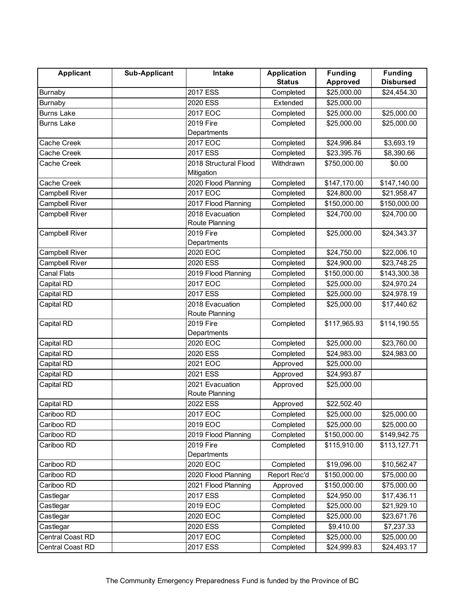| <b>Applicant</b>      | <b>Sub-Applicant</b> | Intake                  | <b>Application</b>     | <b>Funding</b>             | <b>Funding</b>   |
|-----------------------|----------------------|-------------------------|------------------------|----------------------------|------------------|
|                       |                      |                         | <b>Status</b>          | Approved                   | <b>Disbursed</b> |
| <b>Burnaby</b>        |                      | 2017 ESS                | Completed              | \$25,000.00                | \$24,454.30      |
| <b>Burnaby</b>        |                      | 2020 ESS                | Extended               | \$25,000.00                |                  |
| <b>Burns Lake</b>     |                      | 2017 EOC                | Completed              | \$25,000.00                | \$25,000.00      |
| <b>Burns Lake</b>     |                      | 2019 Fire               | Completed              | \$25,000.00                | \$25,000.00      |
|                       |                      | Departments             |                        |                            |                  |
| Cache Creek           |                      | 2017 EOC                | Completed              | \$24,996.84                | \$3,693.19       |
| Cache Creek           |                      | 2017 ESS                | Completed              | \$23,395.76                | \$8,390.66       |
| Cache Creek           |                      | 2018 Structural Flood   | Withdrawn              | \$750,000.00               | \$0.00           |
|                       |                      | Mitigation              |                        |                            |                  |
| Cache Creek           |                      | 2020 Flood Planning     | Completed              | \$147,170.00               | \$147,140.00     |
| Campbell River        |                      | 2017 EOC                | Completed              | \$24,800.00                | \$21,958.47      |
| <b>Campbell River</b> |                      | 2017 Flood Planning     | Completed              | \$150,000.00               | \$150,000.00     |
| Campbell River        |                      | 2018 Evacuation         | Completed              | \$24,700.00                | \$24,700.00      |
|                       |                      | Route Planning          |                        |                            |                  |
| <b>Campbell River</b> |                      | 2019 Fire               | Completed              | \$25,000.00                | \$24,343.37      |
|                       |                      | Departments             |                        |                            |                  |
| Campbell River        |                      | 2020 EOC                | Completed              | \$24,750.00                | \$22,006.10      |
| Campbell River        |                      | 2020 ESS                | Completed              | \$24,900.00                | \$23,748.25      |
| Canal Flats           |                      | 2019 Flood Planning     | Completed              | \$150,000.00               | \$143,300.38     |
| Capital RD            |                      | 2017 EOC                | Completed              | \$25,000.00                | \$24,970.24      |
| Capital RD            |                      | 2017 ESS                | Completed              | \$25,000.00                | \$24,978.19      |
| Capital RD            |                      | 2018 Evacuation         | Completed              | \$25,000.00                | \$17,440.62      |
|                       |                      | Route Planning          |                        |                            |                  |
| Capital RD            |                      | 2019 Fire               | Completed              | \$117,965.93               | \$114,190.55     |
| Capital RD            |                      | Departments<br>2020 EOC |                        |                            | \$23,760.00      |
| Capital RD            |                      | 2020 ESS                | Completed<br>Completed | \$25,000.00<br>\$24,983.00 | \$24,983.00      |
| Capital RD            |                      | 2021 EOC                | Approved               | \$25,000.00                |                  |
|                       |                      | 2021 ESS                |                        |                            |                  |
| Capital RD            |                      | 2021 Evacuation         | Approved               | \$24,993.87                |                  |
| Capital RD            |                      | Route Planning          | Approved               | \$25,000.00                |                  |
| Capital RD            |                      | 2022 ESS                | Approved               | \$22,502.40                |                  |
| Cariboo RD            |                      | 2017 EOC                | Completed              | \$25,000.00                | \$25,000.00      |
| Cariboo RD            |                      | 2019 EOC                | Completed              | \$25,000.00                | \$25,000.00      |
| Cariboo RD            |                      | 2019 Flood Planning     | Completed              | \$150,000.00               | \$149,942.75     |
| Cariboo RD            |                      | 2019 Fire               | Completed              | \$115,910.00               | \$113,127.71     |
|                       |                      | Departments             |                        |                            |                  |
| Cariboo RD            |                      | 2020 EOC                | Completed              | \$19,096.00                | \$10,562.47      |
| Cariboo RD            |                      | 2020 Flood Planning     | Report Rec'd           | \$150,000.00               | \$75,000.00      |
| Cariboo RD            |                      | 2021 Flood Planning     | Approved               | \$150,000.00               | \$75,000.00      |
| Castlegar             |                      | 2017 ESS                | Completed              | \$24,950.00                | \$17,436.11      |
| Castlegar             |                      | 2019 EOC                | Completed              | \$25,000.00                | \$21,929.10      |
| Castlegar             |                      | 2020 EOC                | Completed              | \$25,000.00                | \$23,671.76      |
| Castlegar             |                      | 2020 ESS                | Completed              | \$9,410.00                 | \$7,237.33       |
| Central Coast RD      |                      | 2017 EOC                | Completed              | \$25,000.00                | \$25,000.00      |
| Central Coast RD      |                      | 2017 ESS                | Completed              | \$24,999.83                | \$24,493.17      |
|                       |                      |                         |                        |                            |                  |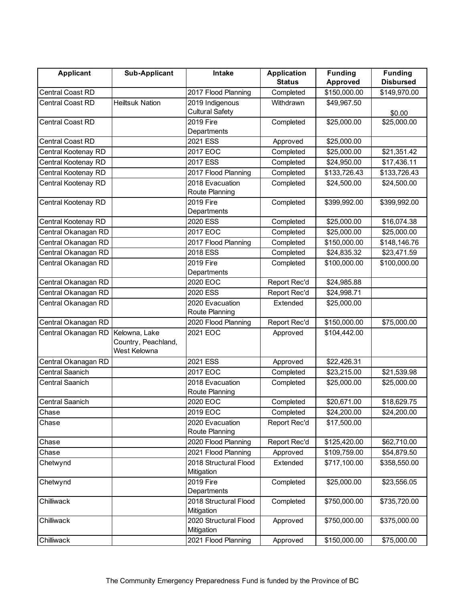| <b>Applicant</b>        | <b>Sub-Applicant</b>   | <b>Intake</b>                       | <b>Application</b> | <b>Funding</b> | <b>Funding</b>   |
|-------------------------|------------------------|-------------------------------------|--------------------|----------------|------------------|
|                         |                        |                                     | <b>Status</b>      | Approved       | <b>Disbursed</b> |
| <b>Central Coast RD</b> |                        | 2017 Flood Planning                 | Completed          | \$150,000.00   | \$149,970.00     |
| <b>Central Coast RD</b> | <b>Heiltsuk Nation</b> | 2019 Indigenous                     | Withdrawn          | \$49,967.50    |                  |
|                         |                        | <b>Cultural Safety</b>              |                    |                | \$0.00           |
| <b>Central Coast RD</b> |                        | 2019 Fire                           | Completed          | \$25,000.00    | \$25,000.00      |
|                         |                        | Departments                         |                    |                |                  |
| <b>Central Coast RD</b> |                        | 2021 ESS                            | Approved           | \$25,000.00    |                  |
| Central Kootenay RD     |                        | 2017 EOC                            | Completed          | \$25,000.00    | \$21,351.42      |
| Central Kootenay RD     |                        | 2017 ESS                            | Completed          | \$24,950.00    | \$17,436.11      |
| Central Kootenay RD     |                        | 2017 Flood Planning                 | Completed          | \$133,726.43   | \$133,726.43     |
| Central Kootenay RD     |                        | 2018 Evacuation                     | Completed          | \$24,500.00    | \$24,500.00      |
|                         |                        | Route Planning                      |                    |                |                  |
| Central Kootenay RD     |                        | 2019 Fire                           | Completed          | \$399,992.00   | \$399,992.00     |
|                         |                        | Departments                         |                    |                |                  |
| Central Kootenay RD     |                        | 2020 ESS                            | Completed          | \$25,000.00    | \$16,074.38      |
| Central Okanagan RD     |                        | 2017 EOC                            | Completed          | \$25,000.00    | \$25,000.00      |
| Central Okanagan RD     |                        | 2017 Flood Planning                 | Completed          | \$150,000.00   | \$148,146.76     |
| Central Okanagan RD     |                        | 2018 ESS                            | Completed          | \$24,835.32    | \$23,471.59      |
| Central Okanagan RD     |                        | 2019 Fire                           | Completed          | \$100,000.00   | \$100,000.00     |
|                         |                        | Departments                         |                    |                |                  |
| Central Okanagan RD     |                        | 2020 EOC                            | Report Rec'd       | \$24,985.88    |                  |
| Central Okanagan RD     |                        | 2020 ESS                            | Report Rec'd       | \$24,998.71    |                  |
| Central Okanagan RD     |                        | 2020 Evacuation                     | Extended           | \$25,000.00    |                  |
|                         |                        | Route Planning                      |                    |                |                  |
| Central Okanagan RD     |                        | 2020 Flood Planning                 | Report Rec'd       | \$150,000.00   | \$75,000.00      |
| Central Okanagan RD     | Kelowna, Lake          | 2021 EOC                            | Approved           | \$104,442.00   |                  |
|                         | Country, Peachland,    |                                     |                    |                |                  |
|                         | West Kelowna           |                                     |                    |                |                  |
| Central Okanagan RD     |                        | 2021 ESS                            | Approved           | \$22,426.31    |                  |
| Central Saanich         |                        | 2017 EOC                            | Completed          | \$23,215.00    | \$21,539.98      |
| Central Saanich         |                        | 2018 Evacuation                     | Completed          | \$25,000.00    | \$25,000.00      |
|                         |                        | Route Planning                      |                    |                |                  |
| <b>Central Saanich</b>  |                        | 2020 EOC                            | Completed          | \$20,671.00    | \$18,629.75      |
| Chase                   |                        | 2019 EOC                            | Completed          | \$24,200.00    | \$24,200.00      |
| Chase                   |                        | 2020 Evacuation                     | Report Rec'd       | \$17,500.00    |                  |
|                         |                        | Route Planning                      |                    |                |                  |
| Chase                   |                        | 2020 Flood Planning                 | Report Rec'd       | \$125,420.00   | \$62,710.00      |
| Chase                   |                        | 2021 Flood Planning                 | Approved           | \$109,759.00   | \$54,879.50      |
| Chetwynd                |                        | 2018 Structural Flood               | Extended           | \$717,100.00   | \$358,550.00     |
|                         |                        | Mitigation                          |                    |                |                  |
| Chetwynd                |                        | 2019 Fire                           | Completed          | \$25,000.00    | \$23,556.05      |
|                         |                        | Departments                         |                    |                |                  |
| Chilliwack              |                        | 2018 Structural Flood               | Completed          | \$750,000.00   | \$735,720.00     |
|                         |                        | Mitigation<br>2020 Structural Flood |                    |                |                  |
| Chilliwack              |                        | Mitigation                          | Approved           | \$750,000.00   | \$375,000.00     |
| Chilliwack              |                        | 2021 Flood Planning                 | Approved           | \$150,000.00   | \$75,000.00      |
|                         |                        |                                     |                    |                |                  |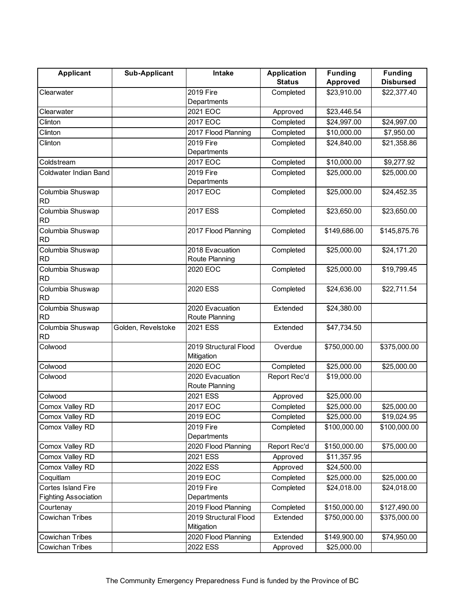| <b>Applicant</b>              | Sub-Applicant      | Intake                | <b>Application</b> | <b>Funding</b>  | <b>Funding</b>   |
|-------------------------------|--------------------|-----------------------|--------------------|-----------------|------------------|
|                               |                    |                       | <b>Status</b>      | <b>Approved</b> | <b>Disbursed</b> |
| Clearwater                    |                    | 2019 Fire             | Completed          | \$23,910.00     | \$22,377.40      |
|                               |                    | Departments           |                    |                 |                  |
| Clearwater                    |                    | 2021 EOC              | Approved           | \$23,446.54     |                  |
| Clinton                       |                    | 2017 EOC              | Completed          | \$24,997.00     | \$24,997.00      |
| Clinton                       |                    | 2017 Flood Planning   | Completed          | \$10,000.00     | \$7,950.00       |
| Clinton                       |                    | 2019 Fire             | Completed          | \$24,840.00     | \$21,358.86      |
|                               |                    | Departments           |                    |                 |                  |
| Coldstream                    |                    | 2017 EOC              | Completed          | \$10,000.00     | \$9,277.92       |
| Coldwater Indian Band         |                    | 2019 Fire             | Completed          | \$25,000.00     | \$25,000.00      |
|                               |                    | Departments           |                    |                 |                  |
| Columbia Shuswap              |                    | 2017 EOC              | Completed          | \$25,000.00     | \$24,452.35      |
| <b>RD</b>                     |                    |                       |                    |                 |                  |
| Columbia Shuswap              |                    | 2017 ESS              | Completed          | \$23,650.00     | \$23,650.00      |
| <b>RD</b>                     |                    |                       |                    |                 |                  |
| Columbia Shuswap              |                    | 2017 Flood Planning   | Completed          | \$149,686.00    | \$145,875.76     |
| <b>RD</b>                     |                    |                       |                    |                 |                  |
| Columbia Shuswap              |                    | 2018 Evacuation       | Completed          | \$25,000.00     | \$24,171.20      |
| <b>RD</b>                     |                    | Route Planning        |                    |                 |                  |
| Columbia Shuswap              |                    | 2020 EOC              | Completed          | \$25,000.00     | \$19,799.45      |
| <b>RD</b>                     |                    |                       |                    |                 |                  |
| Columbia Shuswap<br><b>RD</b> |                    | 2020 ESS              | Completed          | \$24,636.00     | \$22,711.54      |
| Columbia Shuswap              |                    | 2020 Evacuation       | Extended           | \$24,380.00     |                  |
| <b>RD</b>                     |                    | Route Planning        |                    |                 |                  |
| Columbia Shuswap              | Golden, Revelstoke | 2021 ESS              | Extended           | \$47,734.50     |                  |
| <b>RD</b>                     |                    |                       |                    |                 |                  |
| Colwood                       |                    | 2019 Structural Flood | Overdue            | \$750,000.00    | \$375,000.00     |
|                               |                    | Mitigation            |                    |                 |                  |
| Colwood                       |                    | 2020 EOC              | Completed          | \$25,000.00     | \$25,000.00      |
| Colwood                       |                    | 2020 Evacuation       | Report Rec'd       | \$19,000.00     |                  |
|                               |                    | Route Planning        |                    |                 |                  |
| Colwood                       |                    | 2021 ESS              | Approved           | \$25,000.00     |                  |
| Comox Valley RD               |                    | 2017 EOC              | Completed          | \$25,000.00     | \$25,000.00      |
| Comox Valley RD               |                    | 2019 EOC              | Completed          | \$25,000.00     | \$19,024.95      |
| Comox Valley RD               |                    | 2019 Fire             | Completed          | \$100,000.00    | \$100,000.00     |
|                               |                    | Departments           |                    |                 |                  |
| Comox Valley RD               |                    | 2020 Flood Planning   | Report Rec'd       | \$150,000.00    | \$75,000.00      |
| Comox Valley RD               |                    | 2021 ESS              | Approved           | \$11,357.95     |                  |
| Comox Valley RD               |                    | 2022 ESS              | Approved           | \$24,500.00     |                  |
| Coquitlam                     |                    | 2019 EOC              | Completed          | \$25,000.00     | \$25,000.00      |
| Cortes Island Fire            |                    | 2019 Fire             | Completed          | \$24,018.00     | \$24,018.00      |
| <b>Fighting Association</b>   |                    | Departments           |                    |                 |                  |
| Courtenay                     |                    | 2019 Flood Planning   | Completed          | \$150,000.00    | \$127,490.00     |
| <b>Cowichan Tribes</b>        |                    | 2019 Structural Flood | Extended           | \$750,000.00    | \$375,000.00     |
|                               |                    | Mitigation            |                    |                 |                  |
| Cowichan Tribes               |                    | 2020 Flood Planning   | Extended           | \$149,900.00    | \$74,950.00      |
| <b>Cowichan Tribes</b>        |                    | 2022 ESS              | Approved           | \$25,000.00     |                  |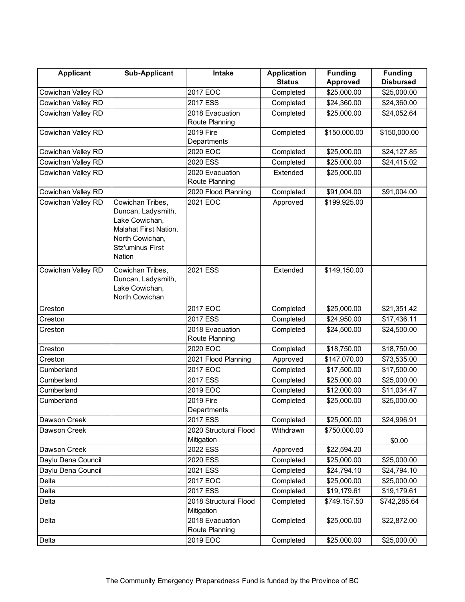| <b>Applicant</b>   | <b>Sub-Applicant</b>                    | Intake                              | <b>Application</b> | <b>Funding</b>             | <b>Funding</b>   |
|--------------------|-----------------------------------------|-------------------------------------|--------------------|----------------------------|------------------|
|                    |                                         |                                     | <b>Status</b>      | Approved                   | <b>Disbursed</b> |
| Cowichan Valley RD |                                         | 2017 EOC                            | Completed          | \$25,000.00                | \$25,000.00      |
| Cowichan Valley RD |                                         | 2017 ESS                            | Completed          | \$24,360.00                | \$24,360.00      |
| Cowichan Valley RD |                                         | 2018 Evacuation                     | Completed          | \$25,000.00                | \$24,052.64      |
|                    |                                         | Route Planning                      |                    |                            |                  |
| Cowichan Valley RD |                                         | 2019 Fire                           | Completed          | \$150,000.00               | \$150,000.00     |
|                    |                                         | Departments                         |                    |                            |                  |
| Cowichan Valley RD |                                         | 2020 EOC                            | Completed          | \$25,000.00                | \$24,127.85      |
| Cowichan Valley RD |                                         | 2020 ESS                            | Completed          | \$25,000.00                | \$24,415.02      |
| Cowichan Valley RD |                                         | 2020 Evacuation                     | Extended           | \$25,000.00                |                  |
|                    |                                         | Route Planning                      |                    |                            |                  |
| Cowichan Valley RD |                                         | 2020 Flood Planning                 | Completed          | \$91,004.00                | \$91,004.00      |
| Cowichan Valley RD | Cowichan Tribes,                        | 2021 EOC                            | Approved           | \$199,925.00               |                  |
|                    | Duncan, Ladysmith,                      |                                     |                    |                            |                  |
|                    | Lake Cowichan,<br>Malahat First Nation, |                                     |                    |                            |                  |
|                    | North Cowichan,                         |                                     |                    |                            |                  |
|                    | <b>Stz'uminus First</b>                 |                                     |                    |                            |                  |
|                    | Nation                                  |                                     |                    |                            |                  |
|                    |                                         |                                     |                    |                            |                  |
| Cowichan Valley RD | Cowichan Tribes,<br>Duncan, Ladysmith,  | 2021 ESS                            | Extended           | \$149,150.00               |                  |
|                    | Lake Cowichan,                          |                                     |                    |                            |                  |
|                    | North Cowichan                          |                                     |                    |                            |                  |
| Creston            |                                         | 2017 EOC                            | Completed          | \$25,000.00                | \$21,351.42      |
| Creston            |                                         | 2017 ESS                            | Completed          | \$24,950.00                | \$17,436.11      |
|                    |                                         | 2018 Evacuation                     |                    |                            | \$24,500.00      |
| Creston            |                                         | Route Planning                      | Completed          | \$24,500.00                |                  |
| Creston            |                                         | 2020 EOC                            | Completed          | \$18,750.00                | \$18,750.00      |
| Creston            |                                         | 2021 Flood Planning                 | Approved           | \$147,070.00               | \$73,535.00      |
|                    |                                         |                                     |                    |                            |                  |
| Cumberland         |                                         | 2017 EOC                            | Completed          | \$17,500.00                | \$17,500.00      |
| Cumberland         |                                         | 2017 ESS                            | Completed          | \$25,000.00                | \$25,000.00      |
| Cumberland         |                                         | 2019 EOC                            | Completed          | \$12,000.00                | \$11,034.47      |
| Cumberland         |                                         | 2019 Fire                           | Completed          | \$25,000.00                | \$25,000.00      |
|                    |                                         | Departments                         |                    |                            |                  |
| Dawson Creek       |                                         | 2017 ESS                            | Completed          | \$25,000.00                | \$24,996.91      |
| Dawson Creek       |                                         | 2020 Structural Flood<br>Mitigation | Withdrawn          | \$750,000.00               |                  |
|                    |                                         | 2022 ESS                            |                    |                            | \$0.00           |
| Dawson Creek       |                                         |                                     | Approved           | \$22,594.20<br>\$25,000.00 |                  |
| Daylu Dena Council |                                         | 2020 ESS                            | Completed          |                            | \$25,000.00      |
| Daylu Dena Council |                                         | 2021 ESS                            | Completed          | \$24,794.10                | \$24,794.10      |
| Delta              |                                         | 2017 EOC                            | Completed          | \$25,000.00                | \$25,000.00      |
| Delta              |                                         | 2017 ESS                            | Completed          | \$19,179.61                | \$19,179.61      |
| Delta              |                                         | 2018 Structural Flood               | Completed          | \$749,157.50               | \$742,285.64     |
|                    |                                         | Mitigation                          |                    |                            |                  |
| Delta              |                                         | 2018 Evacuation                     | Completed          | \$25,000.00                | \$22,872.00      |
|                    |                                         | Route Planning                      |                    |                            |                  |
| Delta              |                                         | 2019 EOC                            | Completed          | \$25,000.00                | \$25,000.00      |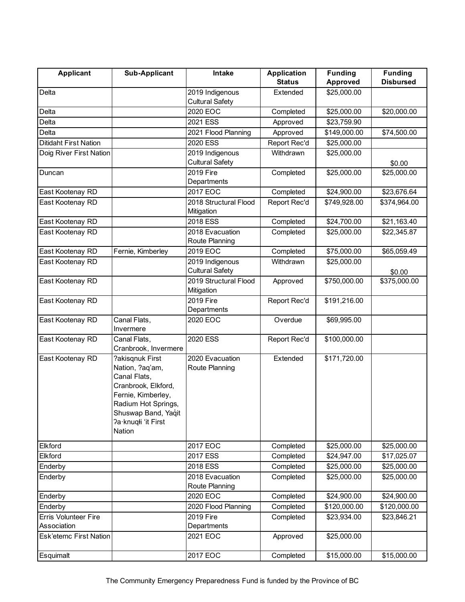| <b>Applicant</b>              | <b>Sub-Applicant</b>                                                                                                                                                           | Intake                                    | <b>Application</b> | <b>Funding</b>  | <b>Funding</b>   |
|-------------------------------|--------------------------------------------------------------------------------------------------------------------------------------------------------------------------------|-------------------------------------------|--------------------|-----------------|------------------|
|                               |                                                                                                                                                                                |                                           | <b>Status</b>      | <b>Approved</b> | <b>Disbursed</b> |
| Delta                         |                                                                                                                                                                                | 2019 Indigenous<br><b>Cultural Safety</b> | Extended           | \$25,000.00     |                  |
| Delta                         |                                                                                                                                                                                | 2020 EOC                                  | Completed          | \$25,000.00     | \$20,000.00      |
| Delta                         |                                                                                                                                                                                | 2021 ESS                                  | Approved           | \$23,759.90     |                  |
| Delta                         |                                                                                                                                                                                | 2021 Flood Planning                       | Approved           | \$149,000.00    | \$74,500.00      |
| Ditidaht First Nation         |                                                                                                                                                                                | 2020 ESS                                  | Report Rec'd       | \$25,000.00     |                  |
| Doig River First Nation       |                                                                                                                                                                                | 2019 Indigenous<br><b>Cultural Safety</b> | Withdrawn          | \$25,000.00     | \$0.00           |
| Duncan                        |                                                                                                                                                                                | 2019 Fire<br>Departments                  | Completed          | \$25,000.00     | \$25,000.00      |
| East Kootenay RD              |                                                                                                                                                                                | 2017 EOC                                  | Completed          | \$24,900.00     | \$23,676.64      |
| East Kootenay RD              |                                                                                                                                                                                | 2018 Structural Flood<br>Mitigation       | Report Rec'd       | \$749,928.00    | \$374,964.00     |
| East Kootenay RD              |                                                                                                                                                                                | 2018 ESS                                  | Completed          | \$24,700.00     | \$21,163.40      |
| East Kootenay RD              |                                                                                                                                                                                | 2018 Evacuation<br>Route Planning         | Completed          | \$25,000.00     | \$22,345.87      |
| East Kootenay RD              | Fernie, Kimberley                                                                                                                                                              | 2019 EOC                                  | Completed          | \$75,000.00     | \$65,059.49      |
| East Kootenay RD              |                                                                                                                                                                                | 2019 Indigenous<br><b>Cultural Safety</b> | Withdrawn          | \$25,000.00     | \$0.00           |
| East Kootenay RD              |                                                                                                                                                                                | 2019 Structural Flood<br>Mitigation       | Approved           | \$750,000.00    | \$375,000.00     |
| East Kootenay RD              |                                                                                                                                                                                | 2019 Fire<br>Departments                  | Report Rec'd       | \$191,216.00    |                  |
| East Kootenay RD              | Canal Flats,<br>Invermere                                                                                                                                                      | 2020 EOC                                  | Overdue            | \$69,995.00     |                  |
| East Kootenay RD              | Canal Flats,<br>Cranbrook, Invermere                                                                                                                                           | 2020 ESS                                  | Report Rec'd       | \$100,000.00    |                  |
| East Kootenay RD              | ?akisqnuk First<br>Nation, ?aq'am,<br>Canal Flats,<br>Cranbrook, Elkford,<br>Fernie, Kimberley,<br>Radium Hot Springs,<br>Shuswap Band, Yaqit<br>Pa·knuqłi 'it First<br>Nation | 2020 Evacuation<br>Route Planning         | Extended           | \$171,720.00    |                  |
| Elkford                       |                                                                                                                                                                                | 2017 EOC                                  | Completed          | \$25,000.00     | \$25,000.00      |
| Elkford                       |                                                                                                                                                                                | 2017 ESS                                  | Completed          | \$24,947.00     | \$17,025.07      |
| Enderby                       |                                                                                                                                                                                | 2018 ESS                                  | Completed          | \$25,000.00     | \$25,000.00      |
| Enderby                       |                                                                                                                                                                                | 2018 Evacuation<br>Route Planning         | Completed          | \$25,000.00     | \$25,000.00      |
| Enderby                       |                                                                                                                                                                                | 2020 EOC                                  | Completed          | \$24,900.00     | \$24,900.00      |
| Enderby                       |                                                                                                                                                                                | 2020 Flood Planning                       | Completed          | \$120,000.00    | \$120,000.00     |
| Erris Volunteer Fire          |                                                                                                                                                                                | 2019 Fire                                 | Completed          | \$23,934.00     | \$23,846.21      |
| Association                   |                                                                                                                                                                                | Departments                               |                    |                 |                  |
| <b>Esk'etemc First Nation</b> |                                                                                                                                                                                | 2021 EOC                                  | Approved           | \$25,000.00     |                  |
| Esquimalt                     |                                                                                                                                                                                | 2017 EOC                                  | Completed          | \$15,000.00     | \$15,000.00      |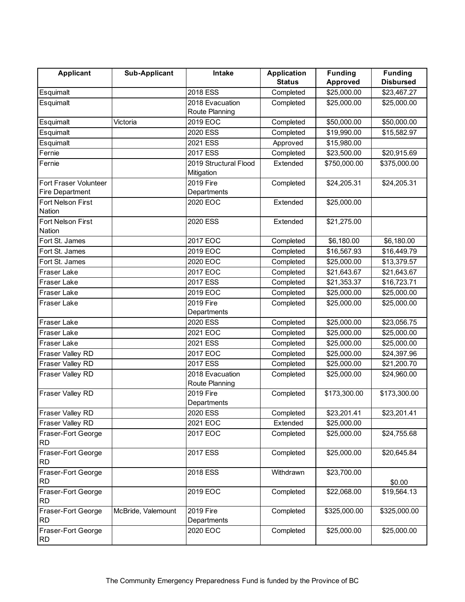| <b>Applicant</b>                | <b>Sub-Applicant</b> | Intake                  | <b>Application</b> | <b>Funding</b> | <b>Funding</b>   |
|---------------------------------|----------------------|-------------------------|--------------------|----------------|------------------|
|                                 |                      |                         | <b>Status</b>      | Approved       | <b>Disbursed</b> |
| Esquimalt                       |                      | 2018 ESS                | Completed          | \$25,000.00    | \$23,467.27      |
| Esquimalt                       |                      | 2018 Evacuation         | Completed          | \$25,000.00    | \$25,000.00      |
|                                 |                      | Route Planning          |                    |                |                  |
| Esquimalt                       | Victoria             | 2019 EOC                | Completed          | \$50,000.00    | \$50,000.00      |
| Esquimalt                       |                      | 2020 ESS                | Completed          | \$19,990.00    | \$15,582.97      |
| Esquimalt                       |                      | 2021 ESS                | Approved           | \$15,980.00    |                  |
| Fernie                          |                      | 2017 ESS                | Completed          | \$23,500.00    | \$20,915.69      |
| Fernie                          |                      | 2019 Structural Flood   | Extended           | \$750,000.00   | \$375,000.00     |
|                                 |                      | Mitigation              |                    |                |                  |
| Fort Fraser Volunteer           |                      | 2019 Fire               | Completed          | \$24,205.31    | \$24,205.31      |
| <b>Fire Department</b>          |                      | Departments             |                    |                |                  |
| Fort Nelson First               |                      | 2020 EOC                | Extended           | \$25,000.00    |                  |
| <b>Nation</b>                   |                      |                         |                    |                |                  |
| Fort Nelson First               |                      | 2020 ESS                | Extended           | \$21,275.00    |                  |
| Nation                          |                      |                         |                    |                |                  |
| Fort St. James                  |                      | 2017 EOC                | Completed          | \$6,180.00     | \$6,180.00       |
| Fort St. James                  |                      | 2019 EOC                | Completed          | \$16,567.93    | \$16,449.79      |
| Fort St. James                  |                      | 2020 EOC                | Completed          | \$25,000.00    | \$13,379.57      |
| Fraser Lake                     |                      | 2017 EOC                | Completed          | \$21,643.67    | \$21,643.67      |
| Fraser Lake                     |                      | 2017 ESS                | Completed          | \$21,353.37    | \$16,723.71      |
| Fraser Lake                     |                      | 2019 EOC                | Completed          | \$25,000.00    | \$25,000.00      |
| Fraser Lake                     |                      | 2019 Fire               | Completed          | \$25,000.00    | \$25,000.00      |
|                                 |                      | Departments             |                    |                |                  |
| Fraser Lake                     |                      | 2020 ESS                | Completed          | \$25,000.00    | \$23,056.75      |
| Fraser Lake                     |                      | 2021 EOC                | Completed          | \$25,000.00    | \$25,000.00      |
| Fraser Lake                     |                      | 2021 ESS                | Completed          | \$25,000.00    | \$25,000.00      |
| Fraser Valley RD                |                      | 2017 EOC                | Completed          | \$25,000.00    | \$24,397.96      |
| Fraser Valley RD                |                      | 2017 ESS                | Completed          | \$25,000.00    | \$21,200.70      |
| Fraser Valley RD                |                      | 2018 Evacuation         | Completed          | \$25,000.00    | \$24,960.00      |
|                                 |                      | Route Planning          |                    |                |                  |
| Fraser Valley RD                |                      | 2019 Fire               | Completed          | \$173,300.00   | \$173,300.00     |
|                                 |                      | Departments<br>2020 ESS | Completed          |                |                  |
| Fraser Valley RD                |                      |                         |                    | \$23,201.41    | \$23,201.41      |
| Fraser Valley RD                |                      | 2021 EOC                | Extended           | \$25,000.00    |                  |
| Fraser-Fort George<br><b>RD</b> |                      | 2017 EOC                | Completed          | \$25,000.00    | \$24,755.68      |
| Fraser-Fort George<br><b>RD</b> |                      | 2017 ESS                | Completed          | \$25,000.00    | \$20,645.84      |
| Fraser-Fort George              |                      | 2018 ESS                | Withdrawn          | \$23,700.00    |                  |
| <b>RD</b>                       |                      |                         |                    |                | \$0.00           |
| Fraser-Fort George<br><b>RD</b> |                      | 2019 EOC                | Completed          | \$22,068.00    | \$19,564.13      |
| Fraser-Fort George              | McBride, Valemount   | 2019 Fire               | Completed          | \$325,000.00   | \$325,000.00     |
| <b>RD</b>                       |                      | Departments             |                    |                |                  |
| Fraser-Fort George              |                      | 2020 EOC                | Completed          | \$25,000.00    | \$25,000.00      |
| <b>RD</b>                       |                      |                         |                    |                |                  |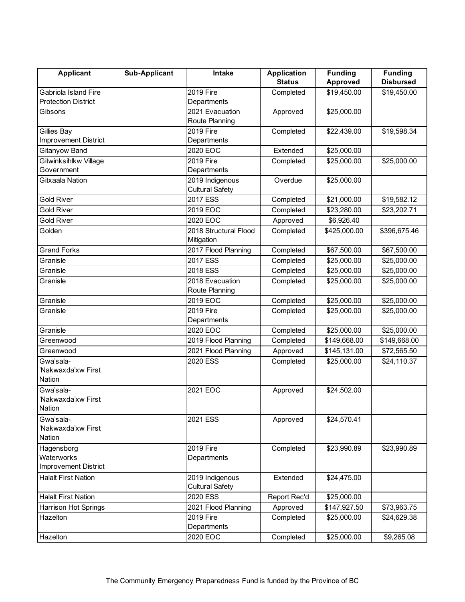| <b>Applicant</b>             | <b>Sub-Applicant</b> | <b>Intake</b>          | <b>Application</b> | <b>Funding</b> | <b>Funding</b>   |
|------------------------------|----------------------|------------------------|--------------------|----------------|------------------|
|                              |                      |                        | <b>Status</b>      | Approved       | <b>Disbursed</b> |
| Gabriola Island Fire         |                      | 2019 Fire              | Completed          | \$19,450.00    | \$19,450.00      |
| <b>Protection District</b>   |                      | Departments            |                    |                |                  |
| Gibsons                      |                      | 2021 Evacuation        | Approved           | \$25,000.00    |                  |
|                              |                      | Route Planning         |                    |                |                  |
| Gillies Bay                  |                      | 2019 Fire              | Completed          | \$22,439.00    | \$19,598.34      |
| Improvement District         |                      | Departments            |                    |                |                  |
| Gitanyow Band                |                      | 2020 EOC               | Extended           | \$25,000.00    |                  |
| Gitwinksihlkw Village        |                      | 2019 Fire              | Completed          | \$25,000.00    | \$25,000.00      |
| Government                   |                      | Departments            |                    |                |                  |
| Gitxaala Nation              |                      | 2019 Indigenous        | Overdue            | \$25,000.00    |                  |
|                              |                      | <b>Cultural Safety</b> |                    |                |                  |
| <b>Gold River</b>            |                      | 2017 ESS               | Completed          | \$21,000.00    | \$19,582.12      |
| <b>Gold River</b>            |                      | 2019 EOC               | Completed          | \$23,280.00    | \$23,202.71      |
| Gold River                   |                      | 2020 EOC               | Approved           | \$6,926.40     |                  |
| Golden                       |                      | 2018 Structural Flood  | Completed          | \$425,000.00   | \$396,675.46     |
|                              |                      | Mitigation             |                    |                |                  |
| <b>Grand Forks</b>           |                      | 2017 Flood Planning    | Completed          | \$67,500.00    | \$67,500.00      |
| Granisle                     |                      | 2017 ESS               | Completed          | \$25,000.00    | \$25,000.00      |
| Granisle                     |                      | 2018 ESS               | Completed          | \$25,000.00    | \$25,000.00      |
| Granisle                     |                      | 2018 Evacuation        | Completed          | \$25,000.00    | \$25,000.00      |
|                              |                      | Route Planning         |                    |                |                  |
| Granisle                     |                      | 2019 EOC               | Completed          | \$25,000.00    | \$25,000.00      |
| Granisle                     |                      | 2019 Fire              | Completed          | \$25,000.00    | \$25,000.00      |
|                              |                      | Departments            |                    |                |                  |
| Granisle                     |                      | 2020 EOC               | Completed          | \$25,000.00    | \$25,000.00      |
| Greenwood                    |                      | 2019 Flood Planning    | Completed          | \$149,668.00   | \$149,668.00     |
| Greenwood                    |                      | 2021 Flood Planning    | Approved           | \$145,131.00   | \$72,565.50      |
| Gwa'sala-                    |                      | 2020 ESS               | Completed          | \$25,000.00    | \$24,110.37      |
| 'Nakwaxda'xw First           |                      |                        |                    |                |                  |
| <b>Nation</b>                |                      |                        |                    |                |                  |
| Gwa'sala-                    |                      | 2021 EOC               | Approved           | \$24,502.00    |                  |
| 'Nakwaxda'xw First           |                      |                        |                    |                |                  |
| Nation                       |                      |                        |                    |                |                  |
| Gwa'sala-                    |                      | 2021 ESS               | Approved           | \$24,570.41    |                  |
| 'Nakwaxda'xw First<br>Nation |                      |                        |                    |                |                  |
|                              |                      | 2019 Fire              |                    | \$23,990.89    |                  |
| Hagensborg<br>Waterworks     |                      | Departments            | Completed          |                | \$23,990.89      |
| <b>Improvement District</b>  |                      |                        |                    |                |                  |
| <b>Halalt First Nation</b>   |                      | 2019 Indigenous        | Extended           | \$24,475.00    |                  |
|                              |                      | <b>Cultural Safety</b> |                    |                |                  |
| <b>Halalt First Nation</b>   |                      | 2020 ESS               | Report Rec'd       | \$25,000.00    |                  |
| Harrison Hot Springs         |                      | 2021 Flood Planning    | Approved           | \$147,927.50   | \$73,963.75      |
| Hazelton                     |                      | 2019 Fire              | Completed          | \$25,000.00    | \$24,629.38      |
|                              |                      | Departments            |                    |                |                  |
| Hazelton                     |                      | 2020 EOC               | Completed          | \$25,000.00    | \$9,265.08       |
|                              |                      |                        |                    |                |                  |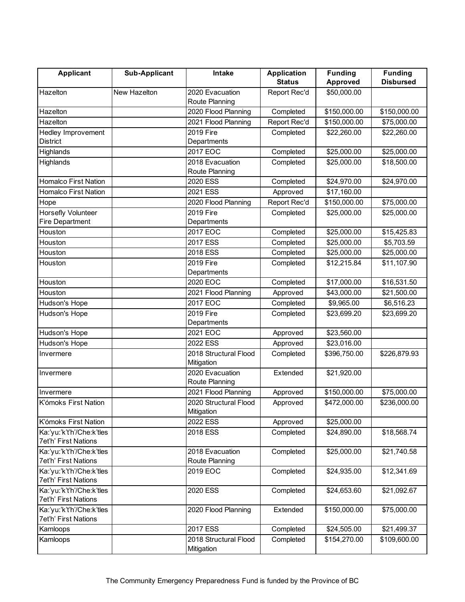| <b>Applicant</b>                                  | <b>Sub-Applicant</b> | Intake                              | <b>Application</b> | <b>Funding</b>  | <b>Funding</b>   |
|---------------------------------------------------|----------------------|-------------------------------------|--------------------|-----------------|------------------|
|                                                   |                      |                                     | <b>Status</b>      | <b>Approved</b> | <b>Disbursed</b> |
| Hazelton                                          | New Hazelton         | 2020 Evacuation<br>Route Planning   | Report Rec'd       | \$50,000.00     |                  |
| Hazelton                                          |                      | 2020 Flood Planning                 | Completed          | \$150,000.00    | \$150,000.00     |
| Hazelton                                          |                      | 2021 Flood Planning                 | Report Rec'd       | \$150,000.00    | \$75,000.00      |
| Hedley Improvement                                |                      | 2019 Fire                           | Completed          | \$22,260.00     | \$22,260.00      |
| <b>District</b>                                   |                      | Departments                         |                    |                 |                  |
| Highlands                                         |                      | 2017 EOC                            | Completed          | \$25,000.00     | \$25,000.00      |
| Highlands                                         |                      | 2018 Evacuation                     | Completed          | \$25,000.00     | \$18,500.00      |
|                                                   |                      | Route Planning                      |                    |                 |                  |
| <b>Homalco First Nation</b>                       |                      | 2020 ESS                            | Completed          | \$24,970.00     | \$24,970.00      |
| <b>Homalco First Nation</b>                       |                      | 2021 ESS                            | Approved           | \$17,160.00     |                  |
| Hope                                              |                      | 2020 Flood Planning                 | Report Rec'd       | \$150,000.00    | \$75,000.00      |
| Horsefly Volunteer                                |                      | 2019 Fire                           | Completed          | \$25,000.00     | \$25,000.00      |
| <b>Fire Department</b>                            |                      | Departments                         |                    |                 |                  |
| Houston                                           |                      | 2017 EOC                            | Completed          | \$25,000.00     | \$15,425.83      |
| Houston                                           |                      | 2017 ESS                            | Completed          | \$25,000.00     | \$5,703.59       |
| Houston                                           |                      | 2018 ESS                            | Completed          | \$25,000.00     | \$25,000.00      |
| Houston                                           |                      | 2019 Fire                           | Completed          | \$12,215.84     | \$11,107.90      |
|                                                   |                      | Departments                         |                    |                 |                  |
| Houston                                           |                      | 2020 EOC                            | Completed          | \$17,000.00     | \$16,531.50      |
| Houston                                           |                      | 2021 Flood Planning                 | Approved           | \$43,000.00     | \$21,500.00      |
| Hudson's Hope                                     |                      | 2017 EOC                            | Completed          | \$9,965.00      | \$6,516.23       |
| Hudson's Hope                                     |                      | 2019 Fire<br>Departments            | Completed          | \$23,699.20     | \$23,699.20      |
| Hudson's Hope                                     |                      | 2021 EOC                            | Approved           | \$23,560.00     |                  |
| Hudson's Hope                                     |                      | 2022 ESS                            | Approved           | \$23,016.00     |                  |
| Invermere                                         |                      | 2018 Structural Flood<br>Mitigation | Completed          | \$396,750.00    | \$226,879.93     |
| Invermere                                         |                      | 2020 Evacuation<br>Route Planning   | Extended           | \$21,920.00     |                  |
| Invermere                                         |                      | 2021 Flood Planning                 | Approved           | \$150,000.00    | \$75,000.00      |
| K'ómoks First Nation                              |                      | 2020 Structural Flood<br>Mitigation | Approved           | \$472,000.00    | \$236,000.00     |
| K'ómoks First Nation                              |                      | 2022 ESS                            | Approved           | \$25,000.00     |                  |
| Ka:'yu:'k't'h'/Che:k'tles                         |                      | 2018 ESS                            | Completed          | \$24,890.00     | \$18,568.74      |
| 7et'h' First Nations                              |                      |                                     |                    |                 |                  |
| Ka:'yu:'k't'h'/Che:k'tles                         |                      | 2018 Evacuation                     | Completed          | \$25,000.00     | \$21,740.58      |
| 7et'h' First Nations                              |                      | Route Planning                      |                    |                 |                  |
| Ka:'yu:'k't'h'/Che:k'tles                         |                      | 2019 EOC                            | Completed          | \$24,935.00     | \$12,341.69      |
| 7et'h' First Nations                              |                      |                                     |                    |                 |                  |
| Ka:'yu:'k't'h'/Che:k'tles<br>7et'h' First Nations |                      | 2020 ESS                            | Completed          | \$24,653.60     | \$21,092.67      |
| Ka:'yu:'k't'h'/Che:k'tles                         |                      | 2020 Flood Planning                 | Extended           | \$150,000.00    | \$75,000.00      |
| 7et'h' First Nations                              |                      |                                     |                    |                 |                  |
| Kamloops                                          |                      | 2017 ESS                            | Completed          | \$24,505.00     | \$21,499.37      |
| Kamloops                                          |                      | 2018 Structural Flood               | Completed          | \$154,270.00    | \$109,600.00     |
|                                                   |                      | Mitigation                          |                    |                 |                  |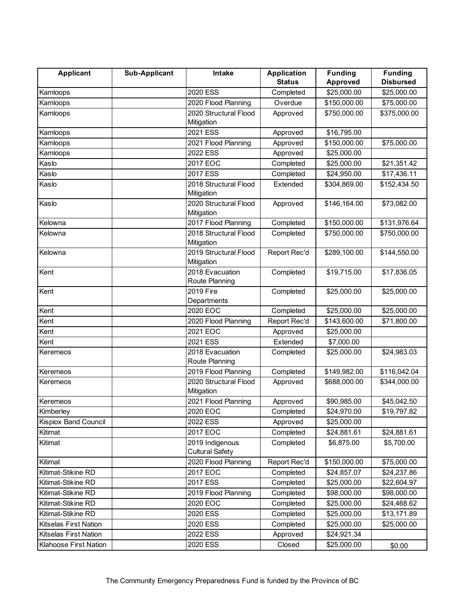| <b>Applicant</b>      | <b>Sub-Applicant</b> | Intake                   | <b>Application</b> | <b>Funding</b> | <b>Funding</b>   |
|-----------------------|----------------------|--------------------------|--------------------|----------------|------------------|
|                       |                      |                          | <b>Status</b>      | Approved       | <b>Disbursed</b> |
| Kamloops              |                      | 2020 ESS                 | Completed          | \$25,000.00    | \$25,000.00      |
| Kamloops              |                      | 2020 Flood Planning      | Overdue            | \$150,000.00   | \$75,000.00      |
| Kamloops              |                      | 2020 Structural Flood    | Approved           | \$750,000.00   | \$375,000.00     |
|                       |                      | Mitigation               |                    |                |                  |
| Kamloops              |                      | 2021 ESS                 | Approved           | \$16,795.00    |                  |
| Kamloops              |                      | 2021 Flood Planning      | Approved           | \$150,000.00   | \$75,000.00      |
| Kamloops              |                      | 2022 ESS                 | Approved           | \$25,000.00    |                  |
| Kaslo                 |                      | 2017 EOC                 | Completed          | \$25,000.00    | \$21,351.42      |
| Kaslo                 |                      | 2017 ESS                 | Completed          | \$24,950.00    | \$17,436.11      |
| Kaslo                 |                      | 2018 Structural Flood    | Extended           | \$304,869.00   | \$152,434.50     |
|                       |                      | Mitigation               |                    |                |                  |
| Kaslo                 |                      | 2020 Structural Flood    | Approved           | \$146,164.00   | \$73,082.00      |
|                       |                      | Mitigation               |                    |                |                  |
| Kelowna               |                      | 2017 Flood Planning      | Completed          | \$150,000.00   | \$131,976.64     |
| Kelowna               |                      | 2018 Structural Flood    | Completed          | \$750,000.00   | \$750,000.00     |
|                       |                      | Mitigation               |                    |                |                  |
| Kelowna               |                      | 2019 Structural Flood    | Report Rec'd       | \$289,100.00   | \$144,550.00     |
|                       |                      | Mitigation               |                    |                |                  |
| Kent                  |                      | 2018 Evacuation          | Completed          | \$19,715.00    | \$17,836.05      |
|                       |                      | Route Planning           |                    |                |                  |
| Kent                  |                      | 2019 Fire<br>Departments | Completed          | \$25,000.00    | \$25,000.00      |
| Kent                  |                      | 2020 EOC                 | Completed          | \$25,000.00    | \$25,000.00      |
| Kent                  |                      | 2020 Flood Planning      | Report Rec'd       | \$143,600.00   | \$71,800.00      |
| Kent                  |                      | 2021 EOC                 | Approved           | \$25,000.00    |                  |
| Kent                  |                      | 2021 ESS                 | Extended           | \$7,000.00     |                  |
| Keremeos              |                      | 2018 Evacuation          | Completed          | \$25,000.00    | \$24,983.03      |
|                       |                      | Route Planning           |                    |                |                  |
| Keremeos              |                      | 2019 Flood Planning      | Completed          | \$149,982.00   | \$116,042.04     |
| Keremeos              |                      | 2020 Structural Flood    | Approved           | \$688,000.00   | \$344,000.00     |
|                       |                      | Mitigation               |                    |                |                  |
| Keremeos              |                      | 2021 Flood Planning      | Approved           | \$90,985.00    | \$45,042.50      |
| Kimberley             |                      | 2020 EOC                 | Completed          | \$24,970.00    | \$19,797.82      |
| Kispiox Band Council  |                      | 2022 ESS                 | Approved           | \$25,000.00    |                  |
| Kitimat               |                      | 2017 EOC                 | Completed          | \$24,881.61    | \$24,881.61      |
| Kitimat               |                      | 2019 Indigenous          | Completed          | \$6,875.00     | \$5,700.00       |
|                       |                      | <b>Cultural Safety</b>   |                    |                |                  |
| Kitimat               |                      | 2020 Flood Planning      | Report Rec'd       | \$150,000.00   | \$75,000.00      |
| Kitimat-Stikine RD    |                      | 2017 EOC                 | Completed          | \$24,857.07    | \$24,237.86      |
| Kitimat-Stikine RD    |                      | 2017 ESS                 | Completed          | \$25,000.00    | \$22,604.97      |
| Kitimat-Stikine RD    |                      | 2019 Flood Planning      | Completed          | \$98,000.00    | \$98,000.00      |
| Kitimat-Stikine RD    |                      | 2020 EOC                 | Completed          | \$25,000.00    | \$24,468.62      |
| Kitimat-Stikine RD    |                      | 2020 ESS                 | Completed          | \$25,000.00    | \$13,171.89      |
| Kitselas First Nation |                      | 2020 ESS                 | Completed          | \$25,000.00    | \$25,000.00      |
| Kitselas First Nation |                      | 2022 ESS                 | Approved           | \$24,921.34    |                  |
| Klahoose First Nation |                      | 2020 ESS                 | Closed             | \$25,000.00    |                  |
|                       |                      |                          |                    |                | \$0.00           |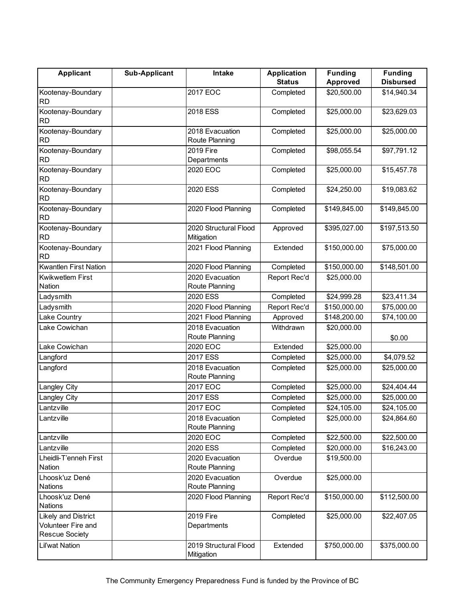| <b>Applicant</b>                                                   | Sub-Applicant | Intake                              | <b>Application</b> | <b>Funding</b> | <b>Funding</b>   |
|--------------------------------------------------------------------|---------------|-------------------------------------|--------------------|----------------|------------------|
|                                                                    |               |                                     | <b>Status</b>      | Approved       | <b>Disbursed</b> |
| Kootenay-Boundary<br><b>RD</b>                                     |               | 2017 EOC                            | Completed          | \$20,500.00    | \$14,940.34      |
| Kootenay-Boundary<br>RD                                            |               | 2018 ESS                            | Completed          | \$25,000.00    | \$23,629.03      |
| Kootenay-Boundary<br>RD                                            |               | 2018 Evacuation<br>Route Planning   | Completed          | \$25,000.00    | \$25,000.00      |
| Kootenay-Boundary<br><b>RD</b>                                     |               | 2019 Fire<br>Departments            | Completed          | \$98,055.54    | \$97,791.12      |
| Kootenay-Boundary<br><b>RD</b>                                     |               | 2020 EOC                            | Completed          | \$25,000.00    | \$15,457.78      |
| Kootenay-Boundary<br><b>RD</b>                                     |               | 2020 ESS                            | Completed          | \$24,250.00    | \$19,083.62      |
| Kootenay-Boundary<br><b>RD</b>                                     |               | 2020 Flood Planning                 | Completed          | \$149,845.00   | \$149,845.00     |
| Kootenay-Boundary<br><b>RD</b>                                     |               | 2020 Structural Flood<br>Mitigation | Approved           | \$395,027.00   | \$197,513.50     |
| Kootenay-Boundary<br><b>RD</b>                                     |               | 2021 Flood Planning                 | Extended           | \$150,000.00   | \$75,000.00      |
| <b>Kwantlen First Nation</b>                                       |               | 2020 Flood Planning                 | Completed          | \$150,000.00   | \$148,501.00     |
| Kwikwetlem First<br>Nation                                         |               | 2020 Evacuation<br>Route Planning   | Report Rec'd       | \$25,000.00    |                  |
| Ladysmith                                                          |               | 2020 ESS                            | Completed          | \$24,999.28    | \$23,411.34      |
| Ladysmith                                                          |               | 2020 Flood Planning                 | Report Rec'd       | \$150,000.00   | \$75,000.00      |
| Lake Country                                                       |               | 2021 Flood Planning                 | Approved           | \$148,200.00   | \$74,100.00      |
| Lake Cowichan                                                      |               | 2018 Evacuation                     | Withdrawn          | \$20,000.00    |                  |
|                                                                    |               | Route Planning                      |                    |                | \$0.00           |
| Lake Cowichan                                                      |               | 2020 EOC                            | Extended           | \$25,000.00    |                  |
| Langford                                                           |               | 2017 ESS                            | Completed          | \$25,000.00    | \$4,079.52       |
| Langford                                                           |               | 2018 Evacuation<br>Route Planning   | Completed          | \$25,000.00    | \$25,000.00      |
| Langley City                                                       |               | 2017 EOC                            | Completed          | \$25,000.00    | \$24,404.44      |
| Langley City                                                       |               | 2017 ESS                            | Completed          | \$25,000.00    | \$25,000.00      |
| Lantzville                                                         |               | 2017 EOC                            | Completed          | \$24,105.00    | \$24,105.00      |
| Lantzville                                                         |               | 2018 Evacuation<br>Route Planning   | Completed          | \$25,000.00    | \$24,864.60      |
| Lantzville                                                         |               | 2020 EOC                            | Completed          | \$22,500.00    | \$22,500.00      |
| Lantzville                                                         |               | 2020 ESS                            | Completed          | \$20,000.00    | \$16,243.00      |
| Lheidli-T'enneh First<br>Nation                                    |               | 2020 Evacuation<br>Route Planning   | Overdue            | \$19,500.00    |                  |
| Lhoosk'uz Dené<br><b>Nations</b>                                   |               | 2020 Evacuation<br>Route Planning   | Overdue            | \$25,000.00    |                  |
| Lhoosk'uz Dené<br><b>Nations</b>                                   |               | 2020 Flood Planning                 | Report Rec'd       | \$150,000.00   | \$112,500.00     |
| Likely and District<br>Volunteer Fire and<br><b>Rescue Society</b> |               | 2019 Fire<br>Departments            | Completed          | \$25,000.00    | \$22,407.05      |
| Lil'wat Nation                                                     |               | 2019 Structural Flood<br>Mitigation | Extended           | \$750,000.00   | \$375,000.00     |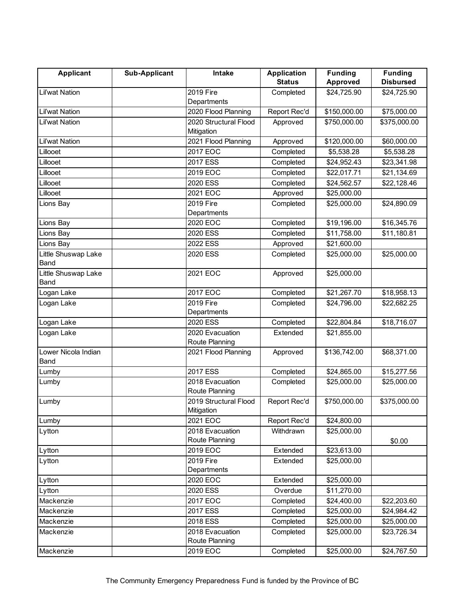| <b>Applicant</b>            | <b>Sub-Applicant</b> | Intake                              | <b>Application</b> | <b>Funding</b> | <b>Funding</b>   |
|-----------------------------|----------------------|-------------------------------------|--------------------|----------------|------------------|
|                             |                      |                                     | <b>Status</b>      | Approved       | <b>Disbursed</b> |
| <b>Lil'wat Nation</b>       |                      | 2019 Fire<br>Departments            | Completed          | \$24,725.90    | \$24,725.90      |
| <b>Lil'wat Nation</b>       |                      | 2020 Flood Planning                 | Report Rec'd       | \$150,000.00   | \$75,000.00      |
| Lil'wat Nation              |                      | 2020 Structural Flood               | Approved           | \$750,000.00   | \$375,000.00     |
|                             |                      | Mitigation                          |                    |                |                  |
| Lil'wat Nation              |                      | 2021 Flood Planning                 | Approved           | \$120,000.00   | \$60,000.00      |
| Lillooet                    |                      | 2017 EOC                            | Completed          | \$5,538.28     | \$5,538.28       |
| Lillooet                    |                      | 2017 ESS                            | Completed          | \$24,952.43    | \$23,341.98      |
| Lillooet                    |                      | 2019 EOC                            | Completed          | \$22,017.71    | \$21,134.69      |
| Lillooet                    |                      | 2020 ESS                            | Completed          | \$24,562.57    | \$22,128.46      |
| Lillooet                    |                      | 2021 EOC                            | Approved           | \$25,000.00    |                  |
| Lions Bay                   |                      | 2019 Fire                           | Completed          | \$25,000.00    | \$24,890.09      |
|                             |                      | Departments                         |                    |                |                  |
| Lions Bay                   |                      | 2020 EOC                            | Completed          | \$19,196.00    | \$16,345.76      |
| Lions Bay                   |                      | 2020 ESS                            | Completed          | \$11,758.00    | \$11,180.81      |
| Lions Bay                   |                      | 2022 ESS                            | Approved           | \$21,600.00    |                  |
| Little Shuswap Lake<br>Band |                      | 2020 ESS                            | Completed          | \$25,000.00    | \$25,000.00      |
| Little Shuswap Lake<br>Band |                      | 2021 EOC                            | Approved           | \$25,000.00    |                  |
| Logan Lake                  |                      | 2017 EOC                            | Completed          | \$21,267.70    | \$18,958.13      |
| Logan Lake                  |                      | 2019 Fire                           | Completed          | \$24,796.00    | \$22,682.25      |
|                             |                      | Departments                         |                    |                |                  |
| Logan Lake                  |                      | 2020 ESS                            | Completed          | \$22,804.84    | \$18,716.07      |
| Logan Lake                  |                      | 2020 Evacuation                     | Extended           | \$21,855.00    |                  |
|                             |                      | Route Planning                      |                    |                |                  |
| Lower Nicola Indian<br>Band |                      | 2021 Flood Planning                 | Approved           | \$136,742.00   | \$68,371.00      |
| Lumby                       |                      | 2017 ESS                            | Completed          | \$24,865.00    | \$15,277.56      |
| Lumby                       |                      | 2018 Evacuation<br>Route Planning   | Completed          | \$25,000.00    | \$25,000.00      |
| Lumby                       |                      | 2019 Structural Flood<br>Mitigation | Report Rec'd       | \$750,000.00   | \$375,000.00     |
| Lumby                       |                      | 2021 EOC                            | Report Rec'd       | \$24,800.00    |                  |
| Lytton                      |                      | 2018 Evacuation                     | Withdrawn          | \$25,000.00    |                  |
|                             |                      | Route Planning                      |                    |                | \$0.00           |
| Lytton                      |                      | 2019 EOC                            | Extended           | \$23,613.00    |                  |
| Lytton                      |                      | 2019 Fire                           | Extended           | \$25,000.00    |                  |
|                             |                      | Departments                         |                    |                |                  |
| Lytton                      |                      | 2020 EOC                            | Extended           | \$25,000.00    |                  |
| Lytton                      |                      | 2020 ESS                            | Overdue            | \$11,270.00    |                  |
| Mackenzie                   |                      | 2017 EOC                            | Completed          | \$24,400.00    | \$22,203.60      |
| Mackenzie                   |                      | 2017 ESS                            | Completed          | \$25,000.00    | \$24,984.42      |
| Mackenzie                   |                      | 2018 ESS                            | Completed          | \$25,000.00    | \$25,000.00      |
| Mackenzie                   |                      | 2018 Evacuation                     | Completed          | \$25,000.00    | \$23,726.34      |
|                             |                      | Route Planning                      |                    |                |                  |
| Mackenzie                   |                      | 2019 EOC                            | Completed          | \$25,000.00    | \$24,767.50      |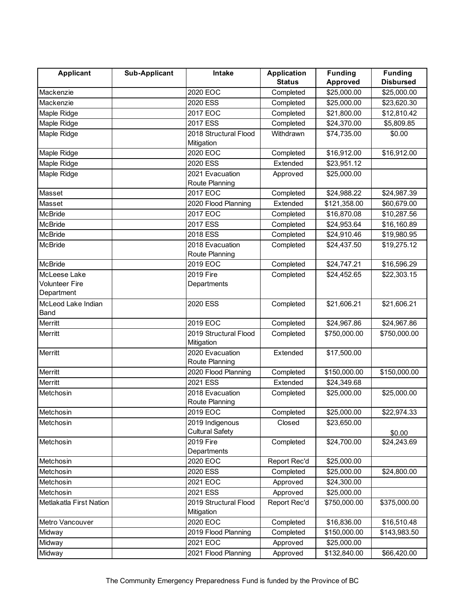| <b>Applicant</b>           | <b>Sub-Applicant</b> | Intake                 | <b>Application</b> | <b>Funding</b>  | <b>Funding</b>   |
|----------------------------|----------------------|------------------------|--------------------|-----------------|------------------|
|                            |                      |                        | <b>Status</b>      | <b>Approved</b> | <b>Disbursed</b> |
| Mackenzie                  |                      | 2020 EOC               | Completed          | \$25,000.00     | \$25,000.00      |
| Mackenzie                  |                      | 2020 ESS               | Completed          | \$25,000.00     | \$23,620.30      |
| Maple Ridge                |                      | 2017 EOC               | Completed          | \$21,800.00     | \$12,810.42      |
| Maple Ridge                |                      | 2017 ESS               | Completed          | \$24,370.00     | \$5,809.85       |
| Maple Ridge                |                      | 2018 Structural Flood  | Withdrawn          | \$74,735.00     | \$0.00           |
|                            |                      | Mitigation             |                    |                 |                  |
| Maple Ridge                |                      | 2020 EOC               | Completed          | \$16,912.00     | \$16,912.00      |
| Maple Ridge                |                      | 2020 ESS               | Extended           | \$23,951.12     |                  |
| Maple Ridge                |                      | 2021 Evacuation        | Approved           | \$25,000.00     |                  |
|                            |                      | Route Planning         |                    |                 |                  |
| Masset                     |                      | 2017 EOC               | Completed          | \$24,988.22     | \$24,987.39      |
| Masset                     |                      | 2020 Flood Planning    | Extended           | \$121,358.00    | \$60,679.00      |
| <b>McBride</b>             |                      | 2017 EOC               | Completed          | \$16,870.08     | \$10,287.56      |
| <b>McBride</b>             |                      | 2017 ESS               | Completed          | \$24,953.64     | \$16,160.89      |
| <b>McBride</b>             |                      | 2018 ESS               | Completed          | \$24,910.46     | \$19,980.95      |
| <b>McBride</b>             |                      | 2018 Evacuation        | Completed          | \$24,437.50     | \$19,275.12      |
|                            |                      | Route Planning         |                    |                 |                  |
| <b>McBride</b>             |                      | 2019 EOC               | Completed          | \$24,747.21     | \$16,596.29      |
| McLeese Lake               |                      | 2019 Fire              | Completed          | \$24,452.65     | \$22,303.15      |
| Volunteer Fire             |                      | Departments            |                    |                 |                  |
| Department                 |                      |                        |                    |                 |                  |
| McLeod Lake Indian<br>Band |                      | 2020 ESS               | Completed          | \$21,606.21     | \$21,606.21      |
| Merritt                    |                      | 2019 EOC               | Completed          | \$24,967.86     | \$24,967.86      |
| Merritt                    |                      | 2019 Structural Flood  | Completed          | \$750,000.00    | \$750,000.00     |
|                            |                      | Mitigation             |                    |                 |                  |
| Merritt                    |                      | 2020 Evacuation        | Extended           | \$17,500.00     |                  |
|                            |                      | Route Planning         |                    |                 |                  |
| Merritt                    |                      | 2020 Flood Planning    | Completed          | \$150,000.00    | \$150,000.00     |
| Merritt                    |                      | 2021 ESS               | Extended           | \$24,349.68     |                  |
| Metchosin                  |                      | 2018 Evacuation        | Completed          | \$25,000.00     | \$25,000.00      |
|                            |                      | Route Planning         |                    |                 |                  |
| Metchosin                  |                      | 2019 EOC               | Completed          | \$25,000.00     | \$22,974.33      |
| Metchosin                  |                      | 2019 Indigenous        | Closed             | \$23,650.00     |                  |
|                            |                      | <b>Cultural Safety</b> |                    |                 | \$0.00           |
| Metchosin                  |                      | 2019 Fire              | Completed          | \$24,700.00     | \$24,243.69      |
|                            |                      | Departments            |                    |                 |                  |
| Metchosin                  |                      | 2020 EOC               | Report Rec'd       | \$25,000.00     |                  |
| Metchosin                  |                      | 2020 ESS               | Completed          | \$25,000.00     | \$24,800.00      |
| Metchosin                  |                      | 2021 EOC               | Approved           | \$24,300.00     |                  |
| Metchosin                  |                      | 2021 ESS               | Approved           | \$25,000.00     |                  |
| Metlakatla First Nation    |                      | 2019 Structural Flood  | Report Rec'd       | \$750,000.00    | \$375,000.00     |
|                            |                      | Mitigation             |                    |                 |                  |
| Metro Vancouver            |                      | 2020 EOC               | Completed          | \$16,836.00     | \$16,510.48      |
| Midway                     |                      | 2019 Flood Planning    | Completed          | \$150,000.00    | \$143,983.50     |
| Midway                     |                      | 2021 EOC               | Approved           | \$25,000.00     |                  |
| Midway                     |                      | 2021 Flood Planning    | Approved           | \$132,840.00    | \$66,420.00      |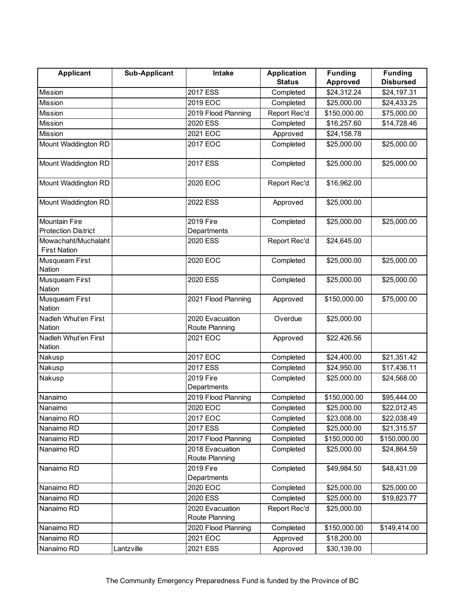| <b>Applicant</b>                                   | <b>Sub-Applicant</b> | Intake                            | <b>Application</b> | <b>Funding</b> | <b>Funding</b>   |
|----------------------------------------------------|----------------------|-----------------------------------|--------------------|----------------|------------------|
|                                                    |                      |                                   | <b>Status</b>      | Approved       | <b>Disbursed</b> |
| <b>Mission</b>                                     |                      | <b>2017 ESS</b>                   | Completed          | \$24,312.24    | \$24,197.31      |
| <b>Mission</b>                                     |                      | 2019 EOC                          | Completed          | \$25,000.00    | \$24,433.25      |
| Mission                                            |                      | 2019 Flood Planning               | Report Rec'd       | \$150,000.00   | \$75,000.00      |
| <b>Mission</b>                                     |                      | 2020 ESS                          | Completed          | \$16,257.60    | \$14,728.46      |
| <b>Mission</b>                                     |                      | 2021 EOC                          | Approved           | \$24,158.78    |                  |
| Mount Waddington RD                                |                      | 2017 EOC                          | Completed          | \$25,000.00    | \$25,000.00      |
| Mount Waddington RD                                |                      | 2017 ESS                          | Completed          | \$25,000.00    | \$25,000.00      |
| Mount Waddington RD                                |                      | 2020 EOC                          | Report Rec'd       | \$16,962.00    |                  |
| Mount Waddington RD                                |                      | 2022 ESS                          | Approved           | \$25,000.00    |                  |
| <b>Mountain Fire</b><br><b>Protection District</b> |                      | 2019 Fire<br>Departments          | Completed          | \$25,000.00    | \$25,000.00      |
| Mowachaht/Muchalaht<br><b>First Nation</b>         |                      | 2020 ESS                          | Report Rec'd       | \$24,645.00    |                  |
| Musqueam First<br>Nation                           |                      | 2020 EOC                          | Completed          | \$25,000.00    | \$25,000.00      |
| Musqueam First<br>Nation                           |                      | 2020 ESS                          | Completed          | \$25,000.00    | \$25,000.00      |
| Musqueam First<br>Nation                           |                      | 2021 Flood Planning               | Approved           | \$150,000.00   | \$75,000.00      |
| Nadleh Whut'en First<br>Nation                     |                      | 2020 Evacuation<br>Route Planning | Overdue            | \$25,000.00    |                  |
| Nadleh Whut'en First<br>Nation                     |                      | 2021 EOC                          | Approved           | \$22,426.56    |                  |
| Nakusp                                             |                      | 2017 EOC                          | Completed          | \$24,400.00    | \$21,351.42      |
| Nakusp                                             |                      | 2017 ESS                          | Completed          | \$24,950.00    | \$17,436.11      |
| Nakusp                                             |                      | 2019 Fire<br>Departments          | Completed          | \$25,000.00    | \$24,568.00      |
| Nanaimo                                            |                      | 2019 Flood Planning               | Completed          | \$150,000.00   | \$95,444.00      |
| Nanaimo                                            |                      | 2020 EOC                          | Completed          | \$25,000.00    | \$22,012.45      |
| Nanaimo RD                                         |                      | 2017 EOC                          | Completed          | \$23,008.00    | \$22,038.49      |
| Nanaimo RD                                         |                      | 2017 ESS                          | Completed          | \$25,000.00    | \$21,315.57      |
| Nanaimo RD                                         |                      | 2017 Flood Planning               | Completed          | \$150,000.00   | \$150,000.00     |
| Nanaimo RD                                         |                      | 2018 Evacuation<br>Route Planning | Completed          | \$25,000.00    | \$24,864.59      |
| Nanaimo RD                                         |                      | 2019 Fire                         | Completed          | \$49,984.50    | \$48,431.09      |
|                                                    |                      | Departments                       |                    |                |                  |
| Nanaimo RD                                         |                      | 2020 EOC                          | Completed          | \$25,000.00    | \$25,000.00      |
| Nanaimo RD                                         |                      | 2020 ESS                          | Completed          | \$25,000.00    | \$19,823.77      |
| Nanaimo RD                                         |                      | 2020 Evacuation                   | Report Rec'd       | \$25,000.00    |                  |
|                                                    |                      | Route Planning                    |                    |                |                  |
| Nanaimo RD                                         |                      | 2020 Flood Planning               | Completed          | \$150,000.00   | \$149,414.00     |
| Nanaimo RD                                         |                      | 2021 EOC                          | Approved           | \$18,200.00    |                  |
| Nanaimo RD                                         | Lantzville           | 2021 ESS                          | Approved           | \$30,139.00    |                  |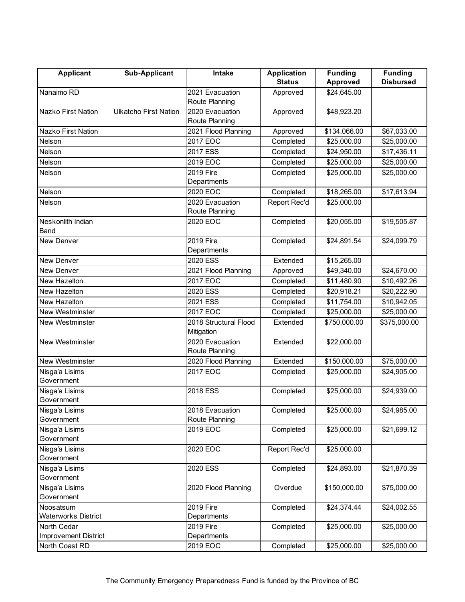| <b>Applicant</b>            | <b>Sub-Applicant</b>         | <b>Intake</b>                       | <b>Application</b> | <b>Funding</b> | <b>Funding</b>   |
|-----------------------------|------------------------------|-------------------------------------|--------------------|----------------|------------------|
|                             |                              |                                     | <b>Status</b>      | Approved       | <b>Disbursed</b> |
| Nanaimo RD                  |                              | 2021 Evacuation                     | Approved           | \$24,645.00    |                  |
|                             |                              | Route Planning                      |                    |                |                  |
| Nazko First Nation          | <b>Ulkatcho First Nation</b> | 2020 Evacuation                     | Approved           | \$48,923.20    |                  |
|                             |                              | Route Planning                      |                    |                |                  |
| Nazko First Nation          |                              | 2021 Flood Planning                 | Approved           | \$134,066.00   | \$67,033.00      |
| Nelson                      |                              | 2017 EOC                            | Completed          | \$25,000.00    | \$25,000.00      |
| Nelson                      |                              | 2017 ESS                            | Completed          | \$24,950.00    | \$17,436.11      |
| Nelson                      |                              | 2019 EOC                            | Completed          | \$25,000.00    | \$25,000.00      |
| Nelson                      |                              | 2019 Fire                           | Completed          | \$25,000.00    | \$25,000.00      |
|                             |                              | Departments                         |                    |                |                  |
| Nelson                      |                              | 2020 EOC                            | Completed          | \$18,265.00    | \$17,613.94      |
| Nelson                      |                              | 2020 Evacuation                     | Report Rec'd       | \$25,000.00    |                  |
|                             |                              | Route Planning                      |                    |                |                  |
| Neskonlith Indian           |                              | 2020 EOC                            | Completed          | \$20,055.00    | \$19,505.87      |
| Band                        |                              |                                     |                    |                |                  |
| New Denver                  |                              | 2019 Fire                           | Completed          | \$24,891.54    | \$24,099.79      |
|                             |                              | Departments                         |                    |                |                  |
| New Denver                  |                              | 2020 ESS                            | Extended           | \$15,265.00    |                  |
| New Denver                  |                              | 2021 Flood Planning                 | Approved           | \$49,340.00    | \$24,670.00      |
| New Hazelton                |                              | 2017 EOC                            | Completed          | \$11,480.90    | \$10,492.26      |
| New Hazelton                |                              | 2020 ESS                            | Completed          | \$20,918.21    | \$20,222.90      |
| New Hazelton                |                              | 2021 ESS                            | Completed          | \$11,754.00    | \$10,942.05      |
| <b>New Westminster</b>      |                              | 2017 EOC                            | Completed          | \$25,000.00    | \$25,000.00      |
|                             |                              |                                     |                    |                |                  |
| <b>New Westminster</b>      |                              | 2018 Structural Flood<br>Mitigation | Extended           | \$750,000.00   | \$375,000.00     |
| New Westminster             |                              | 2020 Evacuation                     | Extended           | \$22,000.00    |                  |
|                             |                              | Route Planning                      |                    |                |                  |
| New Westminster             |                              | 2020 Flood Planning                 | Extended           | \$150,000.00   | \$75,000.00      |
| Nisga'a Lisims              |                              | 2017 EOC                            | Completed          | \$25,000.00    | \$24,905.00      |
| Government                  |                              |                                     |                    |                |                  |
| Nisga'a Lisims              |                              | 2018 ESS                            | Completed          | \$25,000.00    | \$24,939.00      |
| Government                  |                              |                                     |                    |                |                  |
| Nisga'a Lisims              |                              | 2018 Evacuation                     | Completed          | \$25,000.00    | \$24,985.00      |
| Government                  |                              | Route Planning                      |                    |                |                  |
| Nisga'a Lisims              |                              | 2019 EOC                            | Completed          | \$25,000.00    | \$21,699.12      |
| Government                  |                              |                                     |                    |                |                  |
| Nisga'a Lisims              |                              | 2020 EOC                            | Report Rec'd       | \$25,000.00    |                  |
| Government                  |                              |                                     |                    |                |                  |
| Nisga'a Lisims              |                              | 2020 ESS                            | Completed          | \$24,893.00    | \$21,870.39      |
| Government                  |                              |                                     |                    |                |                  |
| Nisga'a Lisims              |                              | 2020 Flood Planning                 | Overdue            | \$150,000.00   | \$75,000.00      |
| Government                  |                              |                                     |                    |                |                  |
| Noosatsum                   |                              | 2019 Fire                           | Completed          | \$24,374.44    | \$24,002.55      |
| <b>Waterworks District</b>  |                              | Departments                         |                    |                |                  |
| North Cedar                 |                              | 2019 Fire                           | Completed          | \$25,000.00    | \$25,000.00      |
| <b>Improvement District</b> |                              | Departments                         |                    |                |                  |
| North Coast RD              |                              | 2019 EOC                            | Completed          | \$25,000.00    | \$25,000.00      |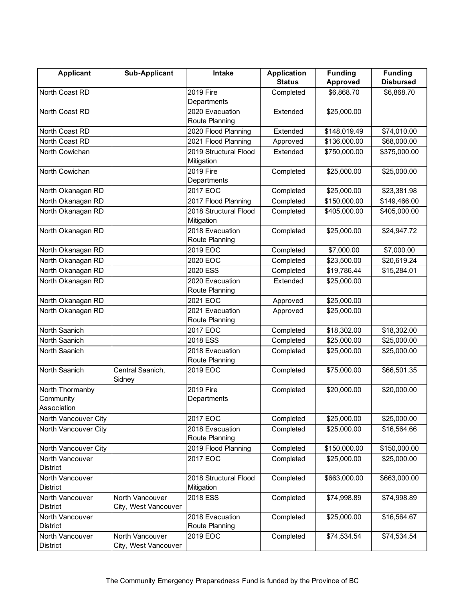| <b>Applicant</b>                            | <b>Sub-Applicant</b>                    | <b>Intake</b>                       | <b>Application</b> | <b>Funding</b>  | <b>Funding</b>   |
|---------------------------------------------|-----------------------------------------|-------------------------------------|--------------------|-----------------|------------------|
|                                             |                                         |                                     | <b>Status</b>      | <b>Approved</b> | <b>Disbursed</b> |
| North Coast RD                              |                                         | 2019 Fire                           | Completed          | \$6,868.70      | \$6,868.70       |
|                                             |                                         | Departments                         |                    |                 |                  |
| North Coast RD                              |                                         | 2020 Evacuation                     | Extended           | \$25,000.00     |                  |
|                                             |                                         | Route Planning                      |                    |                 |                  |
| North Coast RD                              |                                         | 2020 Flood Planning                 | Extended           | \$148,019.49    | \$74,010.00      |
| North Coast RD                              |                                         | 2021 Flood Planning                 | Approved           | \$136,000.00    | \$68,000.00      |
| North Cowichan                              |                                         | 2019 Structural Flood<br>Mitigation | Extended           | \$750,000.00    | \$375,000.00     |
| North Cowichan                              |                                         | 2019 Fire<br>Departments            | Completed          | \$25,000.00     | \$25,000.00      |
| North Okanagan RD                           |                                         | 2017 EOC                            | Completed          | \$25,000.00     | \$23,381.98      |
| North Okanagan RD                           |                                         | 2017 Flood Planning                 | Completed          | \$150,000.00    | \$149,466.00     |
| North Okanagan RD                           |                                         | 2018 Structural Flood<br>Mitigation | Completed          | \$405,000.00    | \$405,000.00     |
| North Okanagan RD                           |                                         | 2018 Evacuation<br>Route Planning   | Completed          | \$25,000.00     | \$24,947.72      |
| North Okanagan RD                           |                                         | 2019 EOC                            | Completed          | \$7,000.00      | \$7,000.00       |
| North Okanagan RD                           |                                         | 2020 EOC                            | Completed          | \$23,500.00     | \$20,619.24      |
| North Okanagan RD                           |                                         | 2020 ESS                            | Completed          | \$19,786.44     | \$15,284.01      |
| North Okanagan RD                           |                                         | 2020 Evacuation<br>Route Planning   | Extended           | \$25,000.00     |                  |
| North Okanagan RD                           |                                         | 2021 EOC                            | Approved           | \$25,000.00     |                  |
| North Okanagan RD                           |                                         | 2021 Evacuation<br>Route Planning   | Approved           | \$25,000.00     |                  |
| North Saanich                               |                                         | 2017 EOC                            | Completed          | \$18,302.00     | \$18,302.00      |
| North Saanich                               |                                         | 2018 ESS                            | Completed          | \$25,000.00     | \$25,000.00      |
| North Saanich                               |                                         | 2018 Evacuation<br>Route Planning   | Completed          | \$25,000.00     | \$25,000.00      |
| North Saanich                               | Central Saanich,<br>Sidney              | 2019 EOC                            | Completed          | \$75,000.00     | \$66,501.35      |
| North Thormanby<br>Community<br>Association |                                         | 2019 Fire<br>Departments            | Completed          | \$20,000.00     | \$20,000.00      |
| North Vancouver City                        |                                         | 2017 EOC                            | Completed          | \$25,000.00     | \$25,000.00      |
| North Vancouver City                        |                                         | 2018 Evacuation<br>Route Planning   | Completed          | \$25,000.00     | \$16,564.66      |
| North Vancouver City                        |                                         | 2019 Flood Planning                 | Completed          | \$150,000.00    | \$150,000.00     |
| North Vancouver<br><b>District</b>          |                                         | 2017 EOC                            | Completed          | \$25,000.00     | \$25,000.00      |
| North Vancouver                             |                                         | 2018 Structural Flood               | Completed          | \$663,000.00    | \$663,000.00     |
| <b>District</b>                             |                                         | Mitigation                          |                    |                 |                  |
| North Vancouver                             | North Vancouver                         | 2018 ESS                            | Completed          | \$74,998.89     | \$74,998.89      |
| District                                    | City, West Vancouver                    |                                     |                    |                 |                  |
| North Vancouver                             |                                         | 2018 Evacuation                     | Completed          | \$25,000.00     | \$16,564.67      |
| District                                    |                                         | Route Planning                      |                    |                 |                  |
| North Vancouver<br>District                 | North Vancouver<br>City, West Vancouver | 2019 EOC                            | Completed          | \$74,534.54     | \$74,534.54      |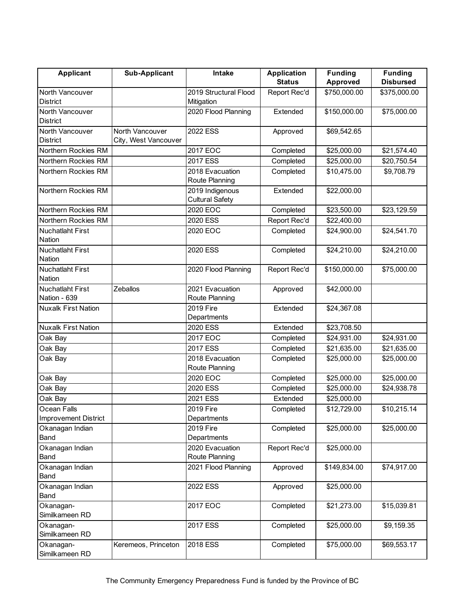| <b>Applicant</b>                  | <b>Sub-Applicant</b> | Intake                                    | <b>Application</b> | <b>Funding</b> | <b>Funding</b>   |
|-----------------------------------|----------------------|-------------------------------------------|--------------------|----------------|------------------|
|                                   |                      |                                           | <b>Status</b>      | Approved       | <b>Disbursed</b> |
| North Vancouver                   |                      | 2019 Structural Flood                     | Report Rec'd       | \$750,000.00   | \$375,000.00     |
| <b>District</b>                   |                      | Mitigation                                |                    |                |                  |
| North Vancouver                   |                      | 2020 Flood Planning                       | Extended           | \$150,000.00   | \$75,000.00      |
| <b>District</b>                   |                      |                                           |                    |                |                  |
| North Vancouver                   | North Vancouver      | 2022 ESS                                  | Approved           | \$69,542.65    |                  |
| District                          | City, West Vancouver |                                           |                    |                |                  |
| Northern Rockies RM               |                      | 2017 EOC                                  | Completed          | \$25,000.00    | \$21,574.40      |
| Northern Rockies RM               |                      | 2017 ESS                                  | Completed          | \$25,000.00    | \$20,750.54      |
| Northern Rockies RM               |                      | 2018 Evacuation<br>Route Planning         | Completed          | \$10,475.00    | \$9,708.79       |
| Northern Rockies RM               |                      | 2019 Indigenous<br><b>Cultural Safety</b> | Extended           | \$22,000.00    |                  |
| Northern Rockies RM               |                      | 2020 EOC                                  | Completed          | \$23,500.00    | \$23,129.59      |
| Northern Rockies RM               |                      | 2020 ESS                                  | Report Rec'd       | \$22,400.00    |                  |
| <b>Nuchatlaht First</b><br>Nation |                      | 2020 EOC                                  | Completed          | \$24,900.00    | \$24,541.70      |
| Nuchatlaht First<br>Nation        |                      | 2020 ESS                                  | Completed          | \$24,210.00    | \$24,210.00      |
| <b>Nuchatlaht First</b><br>Nation |                      | 2020 Flood Planning                       | Report Rec'd       | \$150,000.00   | \$75,000.00      |
| <b>Nuchatlaht First</b>           | Zeballos             | 2021 Evacuation                           | Approved           | \$42,000.00    |                  |
| Nation - 639                      |                      | Route Planning                            |                    |                |                  |
| <b>Nuxalk First Nation</b>        |                      | 2019 Fire                                 | Extended           | \$24,367.08    |                  |
|                                   |                      | Departments                               |                    |                |                  |
| <b>Nuxalk First Nation</b>        |                      | 2020 ESS                                  | Extended           | \$23,708.50    |                  |
| Oak Bay                           |                      | 2017 EOC                                  | Completed          | \$24,931.00    | \$24,931.00      |
| Oak Bay                           |                      | 2017 ESS                                  | Completed          | \$21,635.00    | \$21,635.00      |
| Oak Bay                           |                      | 2018 Evacuation<br>Route Planning         | Completed          | \$25,000.00    | \$25,000.00      |
| Oak Bay                           |                      | 2020 EOC                                  | Completed          | \$25,000.00    | \$25,000.00      |
| Oak Bay                           |                      | 2020 ESS                                  | Completed          | \$25,000.00    | \$24,938.78      |
| Oak Bay                           |                      | 2021 ESS                                  | Extended           | \$25,000.00    |                  |
| Ocean Falls                       |                      | 2019 Fire                                 | Completed          | \$12,729.00    | \$10,215.14      |
| <b>Improvement District</b>       |                      | Departments                               |                    |                |                  |
| Okanagan Indian<br>Band           |                      | 2019 Fire<br>Departments                  | Completed          | \$25,000.00    | \$25,000.00      |
| Okanagan Indian<br>Band           |                      | 2020 Evacuation<br>Route Planning         | Report Rec'd       | \$25,000.00    |                  |
| Okanagan Indian                   |                      | 2021 Flood Planning                       | Approved           | \$149,834.00   | \$74,917.00      |
| Band                              |                      |                                           |                    |                |                  |
| Okanagan Indian                   |                      | 2022 ESS                                  | Approved           | \$25,000.00    |                  |
| Band                              |                      |                                           |                    |                |                  |
| Okanagan-                         |                      | 2017 EOC                                  | Completed          | \$21,273.00    | \$15,039.81      |
| Similkameen RD                    |                      |                                           |                    |                |                  |
| Okanagan-                         |                      | 2017 ESS                                  | Completed          | \$25,000.00    | \$9,159.35       |
| Similkameen RD                    |                      |                                           |                    |                |                  |
| Okanagan-                         | Keremeos, Princeton  | 2018 ESS                                  | Completed          | \$75,000.00    | \$69,553.17      |
| Similkameen RD                    |                      |                                           |                    |                |                  |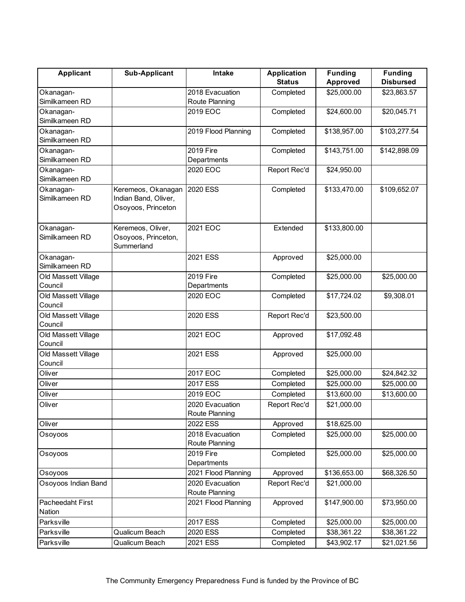| <b>Applicant</b>    | <b>Sub-Applicant</b> | Intake              | <b>Application</b> | <b>Funding</b> | <b>Funding</b>   |
|---------------------|----------------------|---------------------|--------------------|----------------|------------------|
|                     |                      |                     | <b>Status</b>      | Approved       | <b>Disbursed</b> |
| Okanagan-           |                      | 2018 Evacuation     | Completed          | \$25,000.00    | \$23,863.57      |
| Similkameen RD      |                      | Route Planning      |                    |                |                  |
| Okanagan-           |                      | 2019 EOC            | Completed          | \$24,600.00    | \$20,045.71      |
| Similkameen RD      |                      |                     |                    |                |                  |
| Okanagan-           |                      | 2019 Flood Planning | Completed          | \$138,957.00   | \$103,277.54     |
| Similkameen RD      |                      |                     |                    |                |                  |
| Okanagan-           |                      | 2019 Fire           | Completed          | \$143,751.00   | \$142,898.09     |
| Similkameen RD      |                      | Departments         |                    |                |                  |
| Okanagan-           |                      | 2020 EOC            | Report Rec'd       | \$24,950.00    |                  |
| Similkameen RD      |                      |                     |                    |                |                  |
| Okanagan-           | Keremeos, Okanagan   | 2020 ESS            | Completed          | \$133,470.00   | \$109,652.07     |
| Similkameen RD      | Indian Band, Oliver, |                     |                    |                |                  |
|                     | Osoyoos, Princeton   |                     |                    |                |                  |
|                     |                      |                     |                    |                |                  |
| Okanagan-           | Keremeos, Oliver,    | 2021 EOC            | Extended           | \$133,800.00   |                  |
| Similkameen RD      | Osoyoos, Princeton,  |                     |                    |                |                  |
|                     | Summerland           |                     |                    |                |                  |
| Okanagan-           |                      | 2021 ESS            | Approved           | \$25,000.00    |                  |
| Similkameen RD      |                      |                     |                    |                |                  |
| Old Massett Village |                      | 2019 Fire           | Completed          | \$25,000.00    | \$25,000.00      |
| Council             |                      | Departments         |                    |                |                  |
| Old Massett Village |                      | 2020 EOC            | Completed          | \$17,724.02    | \$9,308.01       |
| Council             |                      |                     |                    |                |                  |
| Old Massett Village |                      | 2020 ESS            | Report Rec'd       | \$23,500.00    |                  |
| Council             |                      |                     |                    |                |                  |
| Old Massett Village |                      | 2021 EOC            | Approved           | \$17,092.48    |                  |
| Council             |                      |                     |                    |                |                  |
| Old Massett Village |                      | 2021 ESS            | Approved           | \$25,000.00    |                  |
| Council             |                      |                     |                    |                |                  |
| Oliver              |                      | 2017 EOC            | Completed          | \$25,000.00    | \$24,842.32      |
| Oliver              |                      | 2017 ESS            | Completed          | \$25,000.00    | \$25,000.00      |
| Oliver              |                      | 2019 EOC            | Completed          | \$13,600.00    | \$13,600.00      |
| Oliver              |                      | 2020 Evacuation     | Report Rec'd       | \$21,000.00    |                  |
|                     |                      | Route Planning      |                    |                |                  |
| Oliver              |                      | 2022 ESS            | Approved           | \$18,625.00    |                  |
| Osoyoos             |                      | 2018 Evacuation     | Completed          | \$25,000.00    | \$25,000.00      |
|                     |                      | Route Planning      |                    |                |                  |
| Osoyoos             |                      | 2019 Fire           | Completed          | \$25,000.00    | \$25,000.00      |
|                     |                      | Departments         |                    |                |                  |
| Osoyoos             |                      | 2021 Flood Planning | Approved           | \$136,653.00   | \$68,326.50      |
| Osoyoos Indian Band |                      | 2020 Evacuation     | Report Rec'd       | \$21,000.00    |                  |
|                     |                      | Route Planning      |                    |                |                  |
| Pacheedaht First    |                      | 2021 Flood Planning | Approved           | \$147,900.00   | \$73,950.00      |
| Nation              |                      |                     |                    |                |                  |
| Parksville          |                      | 2017 ESS            | Completed          | \$25,000.00    | \$25,000.00      |
| Parksville          | Qualicum Beach       | 2020 ESS            | Completed          | \$38,361.22    | \$38,361.22      |
|                     |                      |                     |                    |                |                  |
| Parksville          | Qualicum Beach       | 2021 ESS            | Completed          | \$43,902.17    | \$21,021.56      |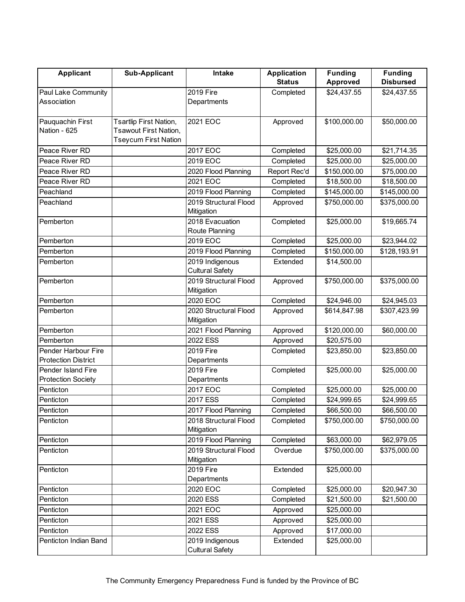| <b>Applicant</b>           | <b>Sub-Applicant</b>         | <b>Intake</b>                             | <b>Application</b> | <b>Funding</b>  | <b>Funding</b>   |
|----------------------------|------------------------------|-------------------------------------------|--------------------|-----------------|------------------|
|                            |                              |                                           | <b>Status</b>      | <b>Approved</b> | <b>Disbursed</b> |
| Paul Lake Community        |                              | 2019 Fire                                 | Completed          | \$24,437.55     | \$24,437.55      |
| Association                |                              | Departments                               |                    |                 |                  |
|                            |                              |                                           |                    |                 |                  |
| Pauquachin First           | Tsartlip First Nation,       | 2021 EOC                                  | Approved           | \$100,000.00    | \$50,000.00      |
| Nation - 625               | <b>Tsawout First Nation,</b> |                                           |                    |                 |                  |
|                            | <b>Tseycum First Nation</b>  | 2017 EOC                                  |                    |                 |                  |
| Peace River RD             |                              | 2019 EOC                                  | Completed          | \$25,000.00     | \$21,714.35      |
| Peace River RD             |                              |                                           | Completed          | \$25,000.00     | \$25,000.00      |
| Peace River RD             |                              | 2020 Flood Planning                       | Report Rec'd       | \$150,000.00    | \$75,000.00      |
| Peace River RD             |                              | 2021 EOC                                  | Completed          | \$18,500.00     | \$18,500.00      |
| Peachland                  |                              | 2019 Flood Planning                       | Completed          | \$145,000.00    | \$145,000.00     |
| Peachland                  |                              | 2019 Structural Flood<br>Mitigation       | Approved           | \$750,000.00    | \$375,000.00     |
| Pemberton                  |                              | 2018 Evacuation<br>Route Planning         | Completed          | \$25,000.00     | \$19,665.74      |
| Pemberton                  |                              | 2019 EOC                                  | Completed          | \$25,000.00     | \$23,944.02      |
| Pemberton                  |                              | 2019 Flood Planning                       | Completed          | \$150,000.00    | \$128,193.91     |
| Pemberton                  |                              | 2019 Indigenous                           | Extended           | \$14,500.00     |                  |
|                            |                              | <b>Cultural Safety</b>                    |                    |                 |                  |
| Pemberton                  |                              | 2019 Structural Flood<br>Mitigation       | Approved           | \$750,000.00    | \$375,000.00     |
| Pemberton                  |                              | 2020 EOC                                  | Completed          | \$24,946.00     | \$24,945.03      |
| Pemberton                  |                              | 2020 Structural Flood<br>Mitigation       | Approved           | \$614,847.98    | \$307,423.99     |
| Pemberton                  |                              | 2021 Flood Planning                       | Approved           | \$120,000.00    | \$60,000.00      |
| Pemberton                  |                              | 2022 ESS                                  | Approved           | \$20,575.00     |                  |
| Pender Harbour Fire        |                              | 2019 Fire                                 | Completed          | \$23,850.00     | \$23,850.00      |
| <b>Protection District</b> |                              | Departments                               |                    |                 |                  |
| Pender Island Fire         |                              | 2019 Fire                                 | Completed          | \$25,000.00     | \$25,000.00      |
| <b>Protection Society</b>  |                              | Departments                               |                    |                 |                  |
| Penticton                  |                              | 2017 EOC                                  | Completed          | \$25,000.00     | \$25,000.00      |
| Penticton                  |                              | 2017 ESS                                  | Completed          | \$24,999.65     | \$24,999.65      |
| Penticton                  |                              | 2017 Flood Planning                       | Completed          | \$66,500.00     | \$66,500.00      |
| Penticton                  |                              | 2018 Structural Flood<br>Mitigation       | Completed          | \$750,000.00    | \$750,000.00     |
| Penticton                  |                              | 2019 Flood Planning                       | Completed          | \$63,000.00     | \$62,979.05      |
| Penticton                  |                              | 2019 Structural Flood                     | Overdue            | \$750,000.00    | \$375,000.00     |
|                            |                              | Mitigation                                |                    |                 |                  |
| Penticton                  |                              | 2019 Fire                                 | Extended           | \$25,000.00     |                  |
|                            |                              | Departments                               |                    |                 |                  |
| Penticton                  |                              | 2020 EOC                                  | Completed          | \$25,000.00     | \$20,947.30      |
| Penticton                  |                              | 2020 ESS                                  | Completed          | \$21,500.00     | \$21,500.00      |
| Penticton                  |                              | 2021 EOC                                  | Approved           | \$25,000.00     |                  |
| Penticton                  |                              | 2021 ESS                                  | Approved           | \$25,000.00     |                  |
| Penticton                  |                              | 2022 ESS                                  | Approved           | \$17,000.00     |                  |
| Penticton Indian Band      |                              | 2019 Indigenous<br><b>Cultural Safety</b> | Extended           | \$25,000.00     |                  |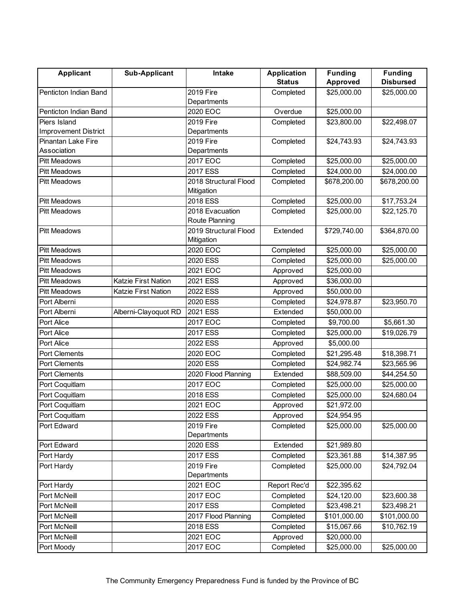| <b>Applicant</b>            | <b>Sub-Applicant</b> | Intake                              | <b>Application</b> | <b>Funding</b>  | <b>Funding</b>   |
|-----------------------------|----------------------|-------------------------------------|--------------------|-----------------|------------------|
|                             |                      |                                     | <b>Status</b>      | <b>Approved</b> | <b>Disbursed</b> |
| Penticton Indian Band       |                      | 2019 Fire                           | Completed          | \$25,000.00     | \$25,000.00      |
|                             |                      | Departments                         |                    |                 |                  |
| Penticton Indian Band       |                      | 2020 EOC                            | Overdue            | \$25,000.00     |                  |
| Piers Island                |                      | 2019 Fire                           | Completed          | \$23,800.00     | \$22,498.07      |
| <b>Improvement District</b> |                      | Departments                         |                    |                 |                  |
| Pinantan Lake Fire          |                      | 2019 Fire                           | Completed          | \$24,743.93     | \$24,743.93      |
| Association                 |                      | Departments                         |                    |                 |                  |
| <b>Pitt Meadows</b>         |                      | 2017 EOC                            | Completed          | \$25,000.00     | \$25,000.00      |
| <b>Pitt Meadows</b>         |                      | 2017 ESS                            | Completed          | \$24,000.00     | \$24,000.00      |
| <b>Pitt Meadows</b>         |                      | 2018 Structural Flood<br>Mitigation | Completed          | \$678,200.00    | \$678,200.00     |
| <b>Pitt Meadows</b>         |                      | 2018 ESS                            | Completed          | \$25,000.00     | \$17,753.24      |
| <b>Pitt Meadows</b>         |                      | 2018 Evacuation<br>Route Planning   | Completed          | \$25,000.00     | \$22,125.70      |
| <b>Pitt Meadows</b>         |                      | 2019 Structural Flood<br>Mitigation | Extended           | \$729,740.00    | \$364,870.00     |
| <b>Pitt Meadows</b>         |                      | 2020 EOC                            | Completed          | \$25,000.00     | \$25,000.00      |
| <b>Pitt Meadows</b>         |                      | 2020 ESS                            | Completed          | \$25,000.00     | \$25,000.00      |
| <b>Pitt Meadows</b>         |                      | 2021 EOC                            | Approved           | \$25,000.00     |                  |
| <b>Pitt Meadows</b>         | Katzie First Nation  | 2021 ESS                            | Approved           | \$36,000.00     |                  |
| <b>Pitt Meadows</b>         | Katzie First Nation  | 2022 ESS                            | Approved           | \$50,000.00     |                  |
| Port Alberni                |                      | 2020 ESS                            | Completed          | \$24,978.87     | \$23,950.70      |
| Port Alberni                | Alberni-Clayoquot RD | 2021 ESS                            | Extended           | \$50,000.00     |                  |
| Port Alice                  |                      | 2017 EOC                            | Completed          | \$9,700.00      | \$5,661.30       |
| Port Alice                  |                      | 2017 ESS                            | Completed          | \$25,000.00     | \$19,026.79      |
| Port Alice                  |                      | 2022 ESS                            | Approved           | \$5,000.00      |                  |
| <b>Port Clements</b>        |                      | 2020 EOC                            | Completed          | \$21,295.48     | \$18,398.71      |
| <b>Port Clements</b>        |                      | 2020 ESS                            | Completed          | \$24,982.74     | \$23,565.96      |
| <b>Port Clements</b>        |                      | 2020 Flood Planning                 | Extended           | \$88,509.00     | \$44,254.50      |
| Port Coquitlam              |                      | 2017 EOC                            | Completed          | \$25,000.00     | \$25,000.00      |
| Port Coquitlam              |                      | 2018 ESS                            | Completed          | \$25,000.00     | \$24,680.04      |
| Port Coquitlam              |                      | 2021 EOC                            | Approved           | \$21,972.00     |                  |
| Port Coquitlam              |                      | 2022 ESS                            | Approved           | \$24,954.95     |                  |
| Port Edward                 |                      | 2019 Fire                           | Completed          | \$25,000.00     | \$25,000.00      |
|                             |                      | Departments                         |                    |                 |                  |
| Port Edward                 |                      | 2020 ESS                            | Extended           | \$21,989.80     |                  |
| Port Hardy                  |                      | 2017 ESS                            | Completed          | \$23,361.88     | \$14,387.95      |
| Port Hardy                  |                      | 2019 Fire                           | Completed          | \$25,000.00     | \$24,792.04      |
|                             |                      | Departments                         |                    |                 |                  |
| Port Hardy                  |                      | 2021 EOC                            | Report Rec'd       | \$22,395.62     |                  |
| Port McNeill                |                      | 2017 EOC                            | Completed          | \$24,120.00     | \$23,600.38      |
| Port McNeill                |                      | 2017 ESS                            | Completed          | \$23,498.21     | \$23,498.21      |
| Port McNeill                |                      | 2017 Flood Planning                 | Completed          | \$101,000.00    | \$101,000.00     |
| Port McNeill                |                      | 2018 ESS                            | Completed          | \$15,067.66     | \$10,762.19      |
| Port McNeill                |                      | 2021 EOC                            | Approved           | \$20,000.00     |                  |
| Port Moody                  |                      | 2017 EOC                            | Completed          | \$25,000.00     | \$25,000.00      |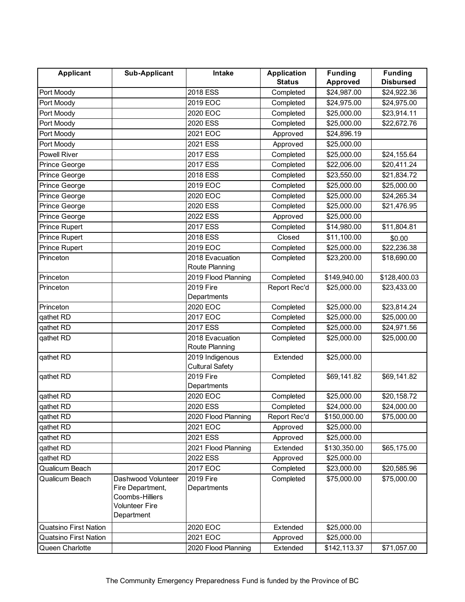| <b>Applicant</b>             | <b>Sub-Applicant</b>                                                                      | Intake                                    | <b>Application</b> | <b>Funding</b> | <b>Funding</b>   |
|------------------------------|-------------------------------------------------------------------------------------------|-------------------------------------------|--------------------|----------------|------------------|
|                              |                                                                                           |                                           | <b>Status</b>      | Approved       | <b>Disbursed</b> |
| Port Moody                   |                                                                                           | 2018 ESS                                  | Completed          | \$24,987.00    | \$24,922.36      |
| Port Moody                   |                                                                                           | 2019 EOC                                  | Completed          | \$24,975.00    | \$24,975.00      |
| Port Moody                   |                                                                                           | 2020 EOC                                  | Completed          | \$25,000.00    | \$23,914.11      |
| Port Moody                   |                                                                                           | 2020 ESS                                  | Completed          | \$25,000.00    | \$22,672.76      |
| Port Moody                   |                                                                                           | 2021 EOC                                  | Approved           | \$24,896.19    |                  |
| Port Moody                   |                                                                                           | 2021 ESS                                  | Approved           | \$25,000.00    |                  |
| <b>Powell River</b>          |                                                                                           | 2017 ESS                                  | Completed          | \$25,000.00    | \$24,155.64      |
| Prince George                |                                                                                           | 2017 ESS                                  | Completed          | \$22,006.00    | \$20,411.24      |
| Prince George                |                                                                                           | 2018 ESS                                  | Completed          | \$23,550.00    | \$21,834.72      |
| Prince George                |                                                                                           | 2019 EOC                                  | Completed          | \$25,000.00    | \$25,000.00      |
| Prince George                |                                                                                           | 2020 EOC                                  | Completed          | \$25,000.00    | \$24,265.34      |
| Prince George                |                                                                                           | 2020 ESS                                  | Completed          | \$25,000.00    | \$21,476.95      |
| Prince George                |                                                                                           | 2022 ESS                                  | Approved           | \$25,000.00    |                  |
| <b>Prince Rupert</b>         |                                                                                           | 2017 ESS                                  | Completed          | \$14,980.00    | \$11,804.81      |
| <b>Prince Rupert</b>         |                                                                                           | 2018 ESS                                  | Closed             | \$11,100.00    | \$0.00           |
| Prince Rupert                |                                                                                           | 2019 EOC                                  | Completed          | \$25,000.00    | \$22,236.38      |
| Princeton                    |                                                                                           | 2018 Evacuation                           | Completed          | \$23,200.00    | \$18,690.00      |
|                              |                                                                                           | Route Planning                            |                    |                |                  |
| Princeton                    |                                                                                           | 2019 Flood Planning                       | Completed          | \$149,940.00   | \$128,400.03     |
| Princeton                    |                                                                                           | 2019 Fire                                 | Report Rec'd       | \$25,000.00    | \$23,433.00      |
|                              |                                                                                           | Departments                               |                    |                |                  |
| Princeton                    |                                                                                           | 2020 EOC                                  | Completed          | \$25,000.00    | \$23,814.24      |
| qathet RD                    |                                                                                           | 2017 EOC                                  | Completed          | \$25,000.00    | \$25,000.00      |
| qathet RD                    |                                                                                           | 2017 ESS                                  | Completed          | \$25,000.00    | \$24,971.56      |
| qathet RD                    |                                                                                           | 2018 Evacuation                           | Completed          | \$25,000.00    | \$25,000.00      |
|                              |                                                                                           | Route Planning                            |                    |                |                  |
| qathet RD                    |                                                                                           | 2019 Indigenous<br><b>Cultural Safety</b> | Extended           | \$25,000.00    |                  |
| qathet RD                    |                                                                                           | 2019 Fire                                 | Completed          | \$69,141.82    | \$69,141.82      |
|                              |                                                                                           | Departments                               |                    |                |                  |
| qathet RD                    |                                                                                           | 2020 EOC                                  | Completed          | \$25,000.00    | \$20,158.72      |
| qathet RD                    |                                                                                           | 2020 ESS                                  | Completed          | \$24,000.00    | \$24,000.00      |
| qathet RD                    |                                                                                           | 2020 Flood Planning                       | Report Rec'd       | \$150,000.00   | \$75,000.00      |
| qathet RD                    |                                                                                           | 2021 EOC                                  | Approved           | \$25,000.00    |                  |
| qathet RD                    |                                                                                           | 2021 ESS                                  | Approved           | \$25,000.00    |                  |
| qathet RD                    |                                                                                           | 2021 Flood Planning                       | Extended           | \$130,350.00   | \$65,175.00      |
| qathet RD                    |                                                                                           | 2022 ESS                                  | Approved           | \$25,000.00    |                  |
| Qualicum Beach               |                                                                                           | 2017 EOC                                  | Completed          | \$23,000.00    | \$20,585.96      |
| Qualicum Beach               | Dashwood Volunteer<br>Fire Department,<br>Coombs-Hilliers<br>Volunteer Fire<br>Department | 2019 Fire<br>Departments                  | Completed          | \$75,000.00    | \$75,000.00      |
| <b>Quatsino First Nation</b> |                                                                                           | 2020 EOC                                  | Extended           | \$25,000.00    |                  |
| <b>Quatsino First Nation</b> |                                                                                           | 2021 EOC                                  | Approved           | \$25,000.00    |                  |
| Queen Charlotte              |                                                                                           | 2020 Flood Planning                       | Extended           | \$142,113.37   | \$71,057.00      |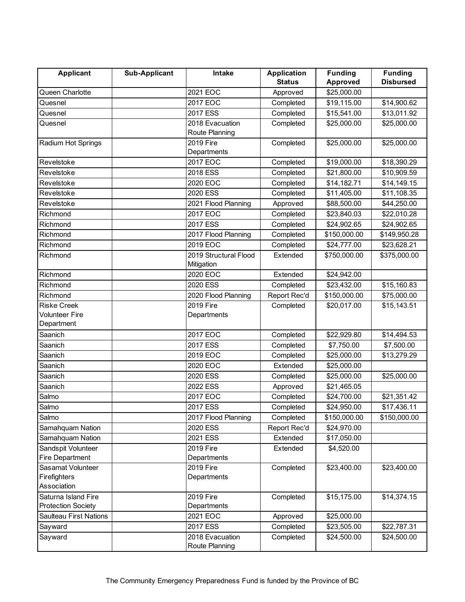| <b>Applicant</b>              | <b>Sub-Applicant</b> | Intake                | <b>Application</b> | <b>Funding</b> | <b>Funding</b>   |
|-------------------------------|----------------------|-----------------------|--------------------|----------------|------------------|
|                               |                      |                       | <b>Status</b>      | Approved       | <b>Disbursed</b> |
| Queen Charlotte               |                      | 2021 EOC              | Approved           | \$25,000.00    |                  |
| Quesnel                       |                      | 2017 EOC              | Completed          | \$19,115.00    | \$14,900.62      |
| Quesnel                       |                      | 2017 ESS              | Completed          | \$15,541.00    | \$13,011.92      |
| Quesnel                       |                      | 2018 Evacuation       | Completed          | \$25,000.00    | \$25,000.00      |
|                               |                      | Route Planning        |                    |                |                  |
| Radium Hot Springs            |                      | 2019 Fire             | Completed          | \$25,000.00    | \$25,000.00      |
|                               |                      | Departments           |                    |                |                  |
| Revelstoke                    |                      | 2017 EOC              | Completed          | \$19,000.00    | \$18,390.29      |
| Revelstoke                    |                      | 2018 ESS              | Completed          | \$21,800.00    | \$10,909.59      |
| Revelstoke                    |                      | 2020 EOC              | Completed          | \$14,182.71    | \$14,149.15      |
| Revelstoke                    |                      | 2020 ESS              | Completed          | \$11,405.00    | \$11,108.35      |
| Revelstoke                    |                      | 2021 Flood Planning   | Approved           | \$88,500.00    | \$44,250.00      |
| Richmond                      |                      | 2017 EOC              | Completed          | \$23,840.03    | \$22,010.28      |
| Richmond                      |                      | 2017 ESS              | Completed          | \$24,902.65    | \$24,902.65      |
| Richmond                      |                      | 2017 Flood Planning   | Completed          | \$150,000.00   | \$149,950.28     |
| Richmond                      |                      | 2019 EOC              | Completed          | \$24,777.00    | \$23,628.21      |
| Richmond                      |                      | 2019 Structural Flood | Extended           | \$750,000.00   | \$375,000.00     |
|                               |                      | Mitigation            |                    |                |                  |
| Richmond                      |                      | $2020$ EOC            | Extended           | \$24,942.00    |                  |
| Richmond                      |                      | 2020 ESS              | Completed          | \$23,432.00    | \$15,160.83      |
| Richmond                      |                      | 2020 Flood Planning   | Report Rec'd       | \$150,000.00   | \$75,000.00      |
| <b>Riske Creek</b>            |                      | 2019 Fire             | Completed          | \$20,017.00    | \$15,143.51      |
| <b>Volunteer Fire</b>         |                      | Departments           |                    |                |                  |
| Department                    |                      |                       |                    |                |                  |
| Saanich                       |                      | 2017 EOC              | Completed          | \$22,929.80    | \$14,494.53      |
| Saanich                       |                      | 2017 ESS              | Completed          | \$7,750.00     | \$7,500.00       |
| Saanich                       |                      | 2019 EOC              | Completed          | \$25,000.00    | \$13,279.29      |
| Saanich                       |                      | 2020 EOC              | Extended           | \$25,000.00    |                  |
| Saanich                       |                      | 2020 ESS              | Completed          | \$25,000.00    | \$25,000.00      |
| Saanich                       |                      | 2022 ESS              | Approved           | \$21,465.05    |                  |
| Salmo                         |                      | 2017 EOC              | Completed          | \$24,700.00    | \$21,351.42      |
| Salmo                         |                      | 2017 ESS              | Completed          | \$24,950.00    | \$17,436.11      |
| Salmo                         |                      | 2017 Flood Planning   | Completed          | \$150,000.00   | \$150,000.00     |
| Samahquam Nation              |                      | 2020 ESS              | Report Rec'd       | \$24,970.00    |                  |
| Samahquam Nation              |                      | 2021 ESS              | Extended           | \$17,050.00    |                  |
| Sandspit Volunteer            |                      | 2019 Fire             | Extended           | \$4,520.00     |                  |
| <b>Fire Department</b>        |                      | Departments           |                    |                |                  |
| Sasamat Volunteer             |                      | 2019 Fire             | Completed          | \$23,400.00    | \$23,400.00      |
| Firefighters                  |                      | Departments           |                    |                |                  |
| Association                   |                      |                       |                    |                |                  |
| Saturna Island Fire           |                      | 2019 Fire             | Completed          | \$15,175.00    | \$14,374.15      |
| <b>Protection Society</b>     |                      | Departments           |                    |                |                  |
| <b>Saulteau First Nations</b> |                      | 2021 EOC              | Approved           | \$25,000.00    |                  |
| Sayward                       |                      | 2017 ESS              | Completed          | \$23,505.00    | \$22,787.31      |
| Sayward                       |                      | 2018 Evacuation       | Completed          | \$24,500.00    | \$24,500.00      |
|                               |                      | Route Planning        |                    |                |                  |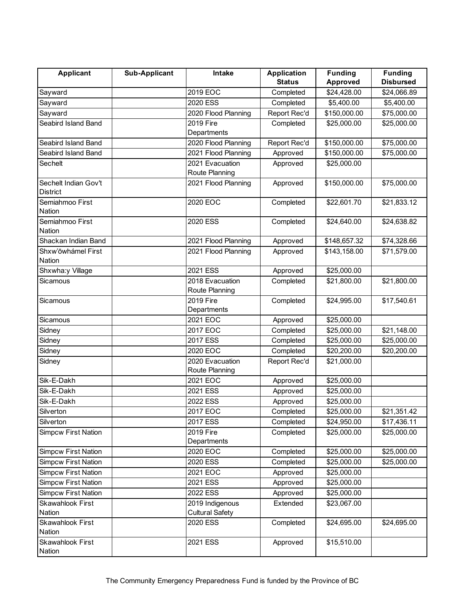| <b>Applicant</b>                        | <b>Sub-Applicant</b> | Intake                            | <b>Application</b> | <b>Funding</b> | <b>Funding</b>   |
|-----------------------------------------|----------------------|-----------------------------------|--------------------|----------------|------------------|
|                                         |                      |                                   | <b>Status</b>      | Approved       | <b>Disbursed</b> |
| Sayward                                 |                      | 2019 EOC                          | Completed          | \$24,428.00    | \$24,066.89      |
| Sayward                                 |                      | 2020 ESS                          | Completed          | \$5,400.00     | \$5,400.00       |
| Sayward                                 |                      | 2020 Flood Planning               | Report Rec'd       | \$150,000.00   | \$75,000.00      |
| Seabird Island Band                     |                      | 2019 Fire                         | Completed          | \$25,000.00    | \$25,000.00      |
|                                         |                      | Departments                       |                    |                |                  |
| Seabird Island Band                     |                      | 2020 Flood Planning               | Report Rec'd       | \$150,000.00   | \$75,000.00      |
| Seabird Island Band                     |                      | 2021 Flood Planning               | Approved           | \$150,000.00   | \$75,000.00      |
| Sechelt                                 |                      | 2021 Evacuation                   | Approved           | \$25,000.00    |                  |
|                                         |                      | Route Planning                    |                    |                |                  |
| Sechelt Indian Gov't<br><b>District</b> |                      | 2021 Flood Planning               | Approved           | \$150,000.00   | \$75,000.00      |
| Semiahmoo First                         |                      | 2020 EOC                          | Completed          | \$22,601.70    | \$21,833.12      |
| Nation                                  |                      |                                   |                    |                |                  |
| Semiahmoo First<br>Nation               |                      | 2020 ESS                          | Completed          | \$24,640.00    | \$24,638.82      |
| Shackan Indian Band                     |                      | 2021 Flood Planning               | Approved           | \$148,657.32   | \$74,328.66      |
| Shxw'ōwhámel First                      |                      | 2021 Flood Planning               | Approved           | \$143,158.00   | \$71,579.00      |
| Nation                                  |                      |                                   |                    |                |                  |
| Shxwha:y Village                        |                      | 2021 ESS                          | Approved           | \$25,000.00    |                  |
| Sicamous                                |                      | 2018 Evacuation<br>Route Planning | Completed          | \$21,800.00    | \$21,800.00      |
| Sicamous                                |                      | 2019 Fire                         | Completed          | \$24,995.00    | \$17,540.61      |
|                                         |                      | Departments                       |                    |                |                  |
| Sicamous                                |                      | 2021 EOC                          | Approved           | \$25,000.00    |                  |
| Sidney                                  |                      | 2017 EOC                          | Completed          | \$25,000.00    | \$21,148.00      |
| Sidney                                  |                      | 2017 ESS                          | Completed          | \$25,000.00    | \$25,000.00      |
| Sidney                                  |                      | 2020 EOC                          | Completed          | \$20,200.00    | \$20,200.00      |
| Sidney                                  |                      | 2020 Evacuation                   | Report Rec'd       | \$21,000.00    |                  |
|                                         |                      | Route Planning                    |                    |                |                  |
| Sik-E-Dakh                              |                      | 2021 EOC                          | Approved           | \$25,000.00    |                  |
| Sik-E-Dakh                              |                      | 2021 ESS                          | Approved           | \$25,000.00    |                  |
| Sik-E-Dakh                              |                      | 2022 ESS                          | Approved           | \$25,000.00    |                  |
| Silverton                               |                      | 2017 EOC                          | Completed          | \$25,000.00    | \$21,351.42      |
| Silverton                               |                      | 2017 ESS                          | Completed          | \$24,950.00    | \$17,436.11      |
| <b>Simpcw First Nation</b>              |                      | 2019 Fire                         | Completed          | \$25,000.00    | \$25,000.00      |
|                                         |                      | Departments                       |                    |                |                  |
| <b>Simpcw First Nation</b>              |                      | 2020 EOC                          | Completed          | \$25,000.00    | \$25,000.00      |
| <b>Simpcw First Nation</b>              |                      | 2020 ESS                          | Completed          | \$25,000.00    | \$25,000.00      |
| <b>Simpcw First Nation</b>              |                      | 2021 EOC                          | Approved           | \$25,000.00    |                  |
| <b>Simpcw First Nation</b>              |                      | 2021 ESS                          | Approved           | \$25,000.00    |                  |
| <b>Simpcw First Nation</b>              |                      | 2022 ESS                          | Approved           | \$25,000.00    |                  |
| Skawahlook First                        |                      | 2019 Indigenous                   | Extended           | \$23,067.00    |                  |
| Nation                                  |                      | <b>Cultural Safety</b>            |                    |                |                  |
| Skawahlook First                        |                      | 2020 ESS                          | Completed          | \$24,695.00    | \$24,695.00      |
| Nation                                  |                      |                                   |                    |                |                  |
| Skawahlook First                        |                      | 2021 ESS                          | Approved           | \$15,510.00    |                  |
| Nation                                  |                      |                                   |                    |                |                  |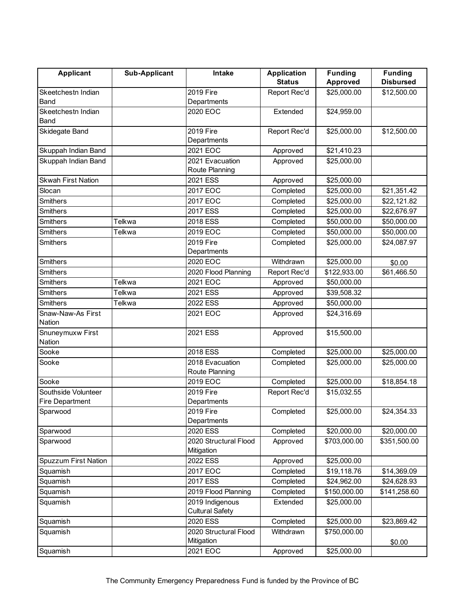| <b>Applicant</b>            | <b>Sub-Applicant</b> | Intake                                    | <b>Application</b> | <b>Funding</b>  | <b>Funding</b>   |
|-----------------------------|----------------------|-------------------------------------------|--------------------|-----------------|------------------|
|                             |                      |                                           | <b>Status</b>      | <b>Approved</b> | <b>Disbursed</b> |
| Skeetchestn Indian          |                      | 2019 Fire                                 | Report Rec'd       | \$25,000.00     | \$12,500.00      |
| <b>Band</b>                 |                      | Departments                               |                    |                 |                  |
| Skeetchestn Indian<br>Band  |                      | 2020 EOC                                  | Extended           | \$24,959.00     |                  |
| Skidegate Band              |                      | 2019 Fire<br>Departments                  | Report Rec'd       | \$25,000.00     | \$12,500.00      |
| Skuppah Indian Band         |                      | $2021$ EOC                                | Approved           | \$21,410.23     |                  |
| Skuppah Indian Band         |                      | 2021 Evacuation                           | Approved           | \$25,000.00     |                  |
|                             |                      | Route Planning                            |                    |                 |                  |
| <b>Skwah First Nation</b>   |                      | 2021 ESS                                  | Approved           | \$25,000.00     |                  |
| Slocan                      |                      | 2017 EOC                                  | Completed          | \$25,000.00     | \$21,351.42      |
| <b>Smithers</b>             |                      | 2017 EOC                                  | Completed          | \$25,000.00     | \$22,121.82      |
| <b>Smithers</b>             |                      | 2017 ESS                                  | Completed          | \$25,000.00     | \$22,676.97      |
| <b>Smithers</b>             | Telkwa               | 2018 ESS                                  | Completed          | \$50,000.00     | \$50,000.00      |
| <b>Smithers</b>             | Telkwa               | 2019 EOC                                  | Completed          | \$50,000.00     | \$50,000.00      |
| <b>Smithers</b>             |                      | 2019 Fire                                 | Completed          | \$25,000.00     | \$24,087.97      |
|                             |                      | Departments                               |                    |                 |                  |
| <b>Smithers</b>             |                      | 2020 EOC                                  | Withdrawn          | \$25,000.00     | \$0.00           |
| <b>Smithers</b>             |                      | 2020 Flood Planning                       | Report Rec'd       | \$122,933.00    | \$61,466.50      |
| <b>Smithers</b>             | Telkwa               | 2021 EOC                                  | Approved           | \$50,000.00     |                  |
| <b>Smithers</b>             | Telkwa               | 2021 ESS                                  | Approved           | \$39,508.32     |                  |
| <b>Smithers</b>             | Telkwa               | 2022 ESS                                  | Approved           | \$50,000.00     |                  |
| Snaw-Naw-As First           |                      | 2021 EOC                                  | Approved           | \$24,316.69     |                  |
| Nation                      |                      |                                           |                    |                 |                  |
| Snuneymuxw First            |                      | 2021 ESS                                  | Approved           | \$15,500.00     |                  |
| Nation                      |                      |                                           |                    |                 |                  |
| Sooke                       |                      | 2018 ESS                                  | Completed          | \$25,000.00     | \$25,000.00      |
| Sooke                       |                      | 2018 Evacuation<br>Route Planning         | Completed          | \$25,000.00     | \$25,000.00      |
| Sooke                       |                      | 2019 EOC                                  | Completed          | \$25,000.00     | \$18,854.18      |
| Southside Volunteer         |                      | 2019 Fire                                 | Report Rec'd       | \$15,032.55     |                  |
| <b>Fire Department</b>      |                      | Departments                               |                    |                 |                  |
| Sparwood                    |                      | 2019 Fire                                 | Completed          | \$25,000.00     | \$24,354.33      |
|                             |                      | Departments                               |                    |                 |                  |
| Sparwood                    |                      | 2020 ESS                                  | Completed          | \$20,000.00     | \$20,000.00      |
| Sparwood                    |                      | 2020 Structural Flood<br>Mitigation       | Approved           | \$703,000.00    | \$351,500.00     |
| <b>Spuzzum First Nation</b> |                      | 2022 ESS                                  | Approved           | \$25,000.00     |                  |
| Squamish                    |                      | 2017 EOC                                  | Completed          | \$19,118.76     | \$14,369.09      |
| Squamish                    |                      | 2017 ESS                                  | Completed          | \$24,962.00     | \$24,628.93      |
| Squamish                    |                      | 2019 Flood Planning                       | Completed          | \$150,000.00    | \$141,258.60     |
| Squamish                    |                      | 2019 Indigenous<br><b>Cultural Safety</b> | Extended           | \$25,000.00     |                  |
| Squamish                    |                      | 2020 ESS                                  | Completed          | \$25,000.00     | \$23,869.42      |
| Squamish                    |                      | 2020 Structural Flood<br>Mitigation       | Withdrawn          | \$750,000.00    |                  |
| Squamish                    |                      | 2021 EOC                                  | Approved           | \$25,000.00     | \$0.00           |
|                             |                      |                                           |                    |                 |                  |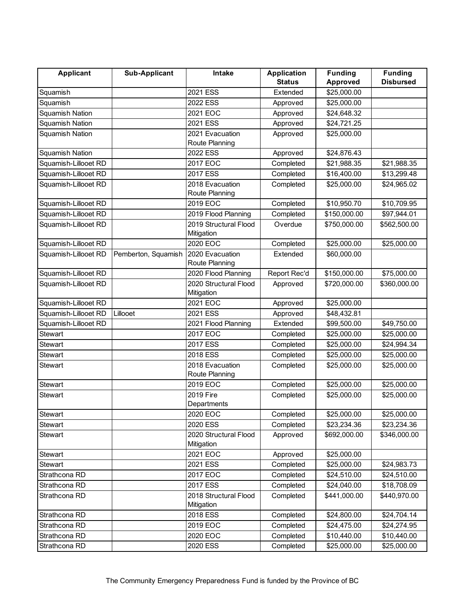| <b>Applicant</b>       | <b>Sub-Applicant</b> | Intake                              | <b>Application</b> | <b>Funding</b>  | <b>Funding</b>   |
|------------------------|----------------------|-------------------------------------|--------------------|-----------------|------------------|
|                        |                      |                                     | <b>Status</b>      | <b>Approved</b> | <b>Disbursed</b> |
| Squamish               |                      | 2021 ESS                            | Extended           | \$25,000.00     |                  |
| Squamish               |                      | 2022 ESS                            | Approved           | \$25,000.00     |                  |
| Squamish Nation        |                      | 2021 EOC                            | Approved           | \$24,648.32     |                  |
| <b>Squamish Nation</b> |                      | 2021 ESS                            | Approved           | \$24,721.25     |                  |
| Squamish Nation        |                      | 2021 Evacuation                     | Approved           | \$25,000.00     |                  |
|                        |                      | Route Planning                      |                    |                 |                  |
| <b>Squamish Nation</b> |                      | <b>2022 ESS</b>                     | Approved           | \$24,876.43     |                  |
| Squamish-Lillooet RD   |                      | 2017 EOC                            | Completed          | \$21,988.35     | \$21,988.35      |
| Squamish-Lillooet RD   |                      | 2017 ESS                            | Completed          | \$16,400.00     | \$13,299.48      |
| Squamish-Lillooet RD   |                      | 2018 Evacuation                     | Completed          | \$25,000.00     | \$24,965.02      |
|                        |                      | Route Planning                      |                    |                 |                  |
| Squamish-Lillooet RD   |                      | 2019 EOC                            | Completed          | \$10,950.70     | \$10,709.95      |
| Squamish-Lillooet RD   |                      | 2019 Flood Planning                 | Completed          | \$150,000.00    | \$97,944.01      |
| Squamish-Lillooet RD   |                      | 2019 Structural Flood               | Overdue            | \$750,000.00    | \$562,500.00     |
|                        |                      | Mitigation                          |                    |                 |                  |
| Squamish-Lillooet RD   |                      | 2020 EOC                            | Completed          | \$25,000.00     | \$25,000.00      |
| Squamish-Lillooet RD   | Pemberton, Squamish  | 2020 Evacuation                     | Extended           | \$60,000.00     |                  |
|                        |                      | Route Planning                      |                    |                 |                  |
| Squamish-Lillooet RD   |                      | 2020 Flood Planning                 | Report Rec'd       | \$150,000.00    | \$75,000.00      |
| Squamish-Lillooet RD   |                      | 2020 Structural Flood               | Approved           | \$720,000.00    | \$360,000.00     |
|                        |                      | Mitigation                          |                    |                 |                  |
| Squamish-Lillooet RD   |                      | 2021 EOC                            | Approved           | \$25,000.00     |                  |
| Squamish-Lillooet RD   | Lillooet             | 2021 ESS                            | Approved           | \$48,432.81     |                  |
| Squamish-Lillooet RD   |                      | 2021 Flood Planning                 | Extended           | \$99,500.00     | \$49,750.00      |
| <b>Stewart</b>         |                      | 2017 EOC                            | Completed          | \$25,000.00     | \$25,000.00      |
| <b>Stewart</b>         |                      | 2017 ESS                            | Completed          | \$25,000.00     | \$24,994.34      |
| <b>Stewart</b>         |                      | 2018 ESS                            | Completed          | \$25,000.00     | \$25,000.00      |
| <b>Stewart</b>         |                      | 2018 Evacuation<br>Route Planning   | Completed          | \$25,000.00     | \$25,000.00      |
| <b>Stewart</b>         |                      | 2019 EOC                            | Completed          | \$25,000.00     | \$25,000.00      |
| <b>Stewart</b>         |                      | 2019 Fire                           | Completed          | \$25,000.00     | \$25,000.00      |
|                        |                      | Departments                         |                    |                 |                  |
| Stewart                |                      | 2020 EOC                            | Completed          | \$25,000.00     | \$25,000.00      |
| Stewart                |                      | 2020 ESS                            | Completed          | \$23,234.36     | \$23,234.36      |
| <b>Stewart</b>         |                      | 2020 Structural Flood<br>Mitigation | Approved           | \$692,000.00    | \$346,000.00     |
| Stewart                |                      | 2021 EOC                            | Approved           | \$25,000.00     |                  |
| Stewart                |                      | 2021 ESS                            | Completed          | \$25,000.00     | \$24,983.73      |
| Strathcona RD          |                      | 2017 EOC                            | Completed          | \$24,510.00     | \$24,510.00      |
| Strathcona RD          |                      | 2017 ESS                            | Completed          | \$24,040.00     | \$18,708.09      |
| Strathcona RD          |                      | 2018 Structural Flood<br>Mitigation | Completed          | \$441,000.00    | \$440,970.00     |
| Strathcona RD          |                      | 2018 ESS                            | Completed          | \$24,800.00     | \$24,704.14      |
| Strathcona RD          |                      | 2019 EOC                            | Completed          | \$24,475.00     | \$24,274.95      |
| Strathcona RD          |                      | 2020 EOC                            | Completed          | \$10,440.00     | \$10,440.00      |
| Strathcona RD          |                      | 2020 ESS                            | Completed          | \$25,000.00     | \$25,000.00      |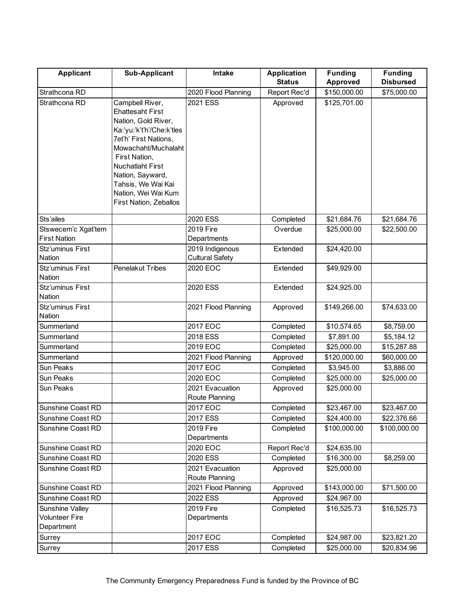| <b>Applicant</b>                                       | <b>Sub-Applicant</b>                                                                                                                                                                                                                                                                  | Intake                                    | <b>Application</b> | <b>Funding</b>          | <b>Funding</b>   |
|--------------------------------------------------------|---------------------------------------------------------------------------------------------------------------------------------------------------------------------------------------------------------------------------------------------------------------------------------------|-------------------------------------------|--------------------|-------------------------|------------------|
|                                                        |                                                                                                                                                                                                                                                                                       |                                           | <b>Status</b>      | Approved                | <b>Disbursed</b> |
| Strathcona RD                                          |                                                                                                                                                                                                                                                                                       | 2020 Flood Planning                       | Report Rec'd       | \$150,000.00            | \$75,000.00      |
| Strathcona RD                                          | Campbell River,<br><b>Ehattesaht First</b><br>Nation, Gold River,<br>Ka:'yu:'k't'h'/Che:k'tles<br>7et'h' First Nations,<br>Mowachaht/Muchalaht<br>First Nation,<br><b>Nuchatlaht First</b><br>Nation, Sayward,<br>Tahsis, We Wai Kai<br>Nation, Wei Wai Kum<br>First Nation, Zeballos | 2021 ESS                                  | Approved           | \$125,701.00            |                  |
| Sts'ailes                                              |                                                                                                                                                                                                                                                                                       | 2020 ESS                                  | Completed          | \$21,684.76             | \$21,684.76      |
| Stswecem'c Xgat'tem<br><b>First Nation</b>             |                                                                                                                                                                                                                                                                                       | 2019 Fire<br>Departments                  | Overdue            | \$25,000.00             | \$22,500.00      |
| Stz'uminus First<br>Nation                             |                                                                                                                                                                                                                                                                                       | 2019 Indigenous<br><b>Cultural Safety</b> | Extended           | \$24,420.00             |                  |
| Stz'uminus First<br><b>Nation</b>                      | Penelakut Tribes                                                                                                                                                                                                                                                                      | 2020 EOC                                  | Extended           | \$49,929.00             |                  |
| Stz'uminus First<br>Nation                             |                                                                                                                                                                                                                                                                                       | 2020 ESS                                  | Extended           | \$24,925.00             |                  |
| Stz'uminus First<br>Nation                             |                                                                                                                                                                                                                                                                                       | 2021 Flood Planning                       | Approved           | \$149,266.00            | \$74,633.00      |
| Summerland                                             |                                                                                                                                                                                                                                                                                       | 2017 EOC                                  | Completed          | \$10,574.65             | \$8,759.00       |
| Summerland                                             |                                                                                                                                                                                                                                                                                       | 2018 ESS                                  | Completed          | \$7,891.00              | \$5,184.12       |
| Summerland                                             |                                                                                                                                                                                                                                                                                       | 2019 EOC                                  | Completed          | \$25,000.00             | \$15,287.88      |
| Summerland                                             |                                                                                                                                                                                                                                                                                       | 2021 Flood Planning                       | Approved           | \$120,000.00            | \$60,000.00      |
| Sun Peaks                                              |                                                                                                                                                                                                                                                                                       | 2017 EOC                                  | Completed          | \$3,945.00              | \$3,886.00       |
| Sun Peaks                                              |                                                                                                                                                                                                                                                                                       | 2020 EOC                                  | Completed          | \$25,000.00             | \$25,000.00      |
| Sun Peaks                                              |                                                                                                                                                                                                                                                                                       | 2021 Evacuation<br>Route Planning         | Approved           | \$25,000.00             |                  |
| Sunshine Coast RD                                      |                                                                                                                                                                                                                                                                                       | 2017 EOC                                  | Completed          | $\overline{$}23,467.00$ | \$23,467.00      |
| Sunshine Coast RD                                      |                                                                                                                                                                                                                                                                                       | 2017 ESS                                  | Completed          | \$24,400.00             | \$22,376.66      |
| Sunshine Coast RD                                      |                                                                                                                                                                                                                                                                                       | 2019 Fire<br>Departments                  | Completed          | \$100,000.00            | \$100,000.00     |
| Sunshine Coast RD                                      |                                                                                                                                                                                                                                                                                       | 2020 EOC                                  | Report Rec'd       | \$24,635.00             |                  |
| Sunshine Coast RD                                      |                                                                                                                                                                                                                                                                                       | 2020 ESS                                  | Completed          | \$16,300.00             | \$8,259.00       |
| Sunshine Coast RD                                      |                                                                                                                                                                                                                                                                                       | 2021 Evacuation<br>Route Planning         | Approved           | \$25,000.00             |                  |
| Sunshine Coast RD                                      |                                                                                                                                                                                                                                                                                       | 2021 Flood Planning                       | Approved           | \$143,000.00            | \$71,500.00      |
| Sunshine Coast RD                                      |                                                                                                                                                                                                                                                                                       | 2022 ESS                                  | Approved           | \$24,967.00             |                  |
| Sunshine Valley<br><b>Volunteer Fire</b><br>Department |                                                                                                                                                                                                                                                                                       | 2019 Fire<br>Departments                  | Completed          | \$16,525.73             | \$16,525.73      |
| Surrey                                                 |                                                                                                                                                                                                                                                                                       | 2017 EOC                                  | Completed          | \$24,987.00             | \$23,821.20      |
| Surrey                                                 |                                                                                                                                                                                                                                                                                       | 2017 ESS                                  | Completed          | \$25,000.00             | \$20,834.96      |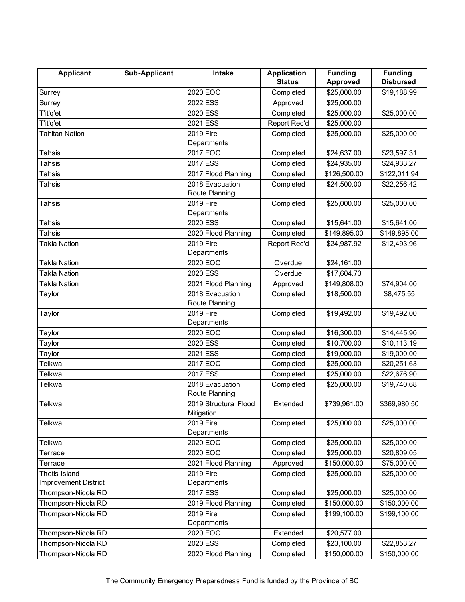| <b>Applicant</b>            | <b>Sub-Applicant</b> | Intake                   | <b>Application</b> | <b>Funding</b> | <b>Funding</b>   |
|-----------------------------|----------------------|--------------------------|--------------------|----------------|------------------|
|                             |                      |                          | <b>Status</b>      | Approved       | <b>Disbursed</b> |
| Surrey                      |                      | 2020 EOC                 | Completed          | \$25,000.00    | \$19,188.99      |
| Surrey                      |                      | 2022 ESS                 | Approved           | \$25,000.00    |                  |
| T'it'q'et                   |                      | 2020 ESS                 | Completed          | \$25,000.00    | \$25,000.00      |
| T'it'q'et                   |                      | 2021 ESS                 | Report Rec'd       | \$25,000.00    |                  |
| <b>Tahltan Nation</b>       |                      | 2019 Fire                | Completed          | \$25,000.00    | \$25,000.00      |
|                             |                      | Departments              |                    |                |                  |
| Tahsis                      |                      | 2017 EOC                 | Completed          | \$24,637.00    | \$23,597.31      |
| Tahsis                      |                      | 2017 ESS                 | Completed          | \$24,935.00    | \$24,933.27      |
| Tahsis                      |                      | 2017 Flood Planning      | Completed          | \$126,500.00   | \$122,011.94     |
| <b>Tahsis</b>               |                      | 2018 Evacuation          | Completed          | \$24,500.00    | \$22,256.42      |
|                             |                      | Route Planning           |                    |                |                  |
| Tahsis                      |                      | 2019 Fire                | Completed          | \$25,000.00    | \$25,000.00      |
|                             |                      | Departments              |                    |                |                  |
| Tahsis                      |                      | 2020 ESS                 | Completed          | \$15,641.00    | \$15,641.00      |
| Tahsis                      |                      | 2020 Flood Planning      | Completed          | \$149,895.00   | \$149,895.00     |
| <b>Takla Nation</b>         |                      | 2019 Fire                | Report Rec'd       | \$24,987.92    | \$12,493.96      |
|                             |                      | Departments              |                    |                |                  |
| <b>Takla Nation</b>         |                      | 2020 EOC                 | Overdue            | \$24,161.00    |                  |
| Takla Nation                |                      | 2020 ESS                 | Overdue            | \$17,604.73    |                  |
| <b>Takla Nation</b>         |                      | 2021 Flood Planning      | Approved           | \$149,808.00   | \$74,904.00      |
| Taylor                      |                      | 2018 Evacuation          | Completed          | \$18,500.00    | \$8,475.55       |
|                             |                      | Route Planning           |                    |                |                  |
| Taylor                      |                      | 2019 Fire<br>Departments | Completed          | \$19,492.00    | \$19,492.00      |
| Taylor                      |                      | 2020 EOC                 | Completed          | \$16,300.00    | \$14,445.90      |
| Taylor                      |                      | 2020 ESS                 | Completed          | \$10,700.00    | \$10,113.19      |
| Taylor                      |                      | 2021 ESS                 | Completed          | \$19,000.00    | \$19,000.00      |
| Telkwa                      |                      | 2017 EOC                 | Completed          | \$25,000.00    | \$20,251.63      |
| Telkwa                      |                      | 2017 ESS                 | Completed          | \$25,000.00    | \$22,676.90      |
| Telkwa                      |                      | 2018 Evacuation          | Completed          | \$25,000.00    | \$19,740.68      |
|                             |                      | Route Planning           |                    |                |                  |
| Telkwa                      |                      | 2019 Structural Flood    | Extended           | \$739,961.00   | \$369,980.50     |
|                             |                      | Mitigation               |                    |                |                  |
| Telkwa                      |                      | 2019 Fire                | Completed          | \$25,000.00    | \$25,000.00      |
|                             |                      | Departments              |                    |                |                  |
| Telkwa                      |                      | 2020 EOC                 | Completed          | \$25,000.00    | \$25,000.00      |
| Terrace                     |                      | 2020 EOC                 | Completed          | \$25,000.00    | \$20,809.05      |
| Terrace                     |                      | 2021 Flood Planning      | Approved           | \$150,000.00   | \$75,000.00      |
| Thetis Island               |                      | 2019 Fire                | Completed          | \$25,000.00    | \$25,000.00      |
| <b>Improvement District</b> |                      | Departments              |                    |                |                  |
| Thompson-Nicola RD          |                      | 2017 ESS                 | Completed          | \$25,000.00    | \$25,000.00      |
| Thompson-Nicola RD          |                      | 2019 Flood Planning      | Completed          | \$150,000.00   | \$150,000.00     |
| Thompson-Nicola RD          |                      | 2019 Fire                | Completed          | \$199,100.00   | \$199,100.00     |
|                             |                      | Departments              |                    |                |                  |
| Thompson-Nicola RD          |                      | 2020 EOC                 | Extended           | \$20,577.00    |                  |
| Thompson-Nicola RD          |                      | 2020 ESS                 | Completed          | \$23,100.00    | \$22,853.27      |
| Thompson-Nicola RD          |                      | 2020 Flood Planning      | Completed          | \$150,000.00   | \$150,000.00     |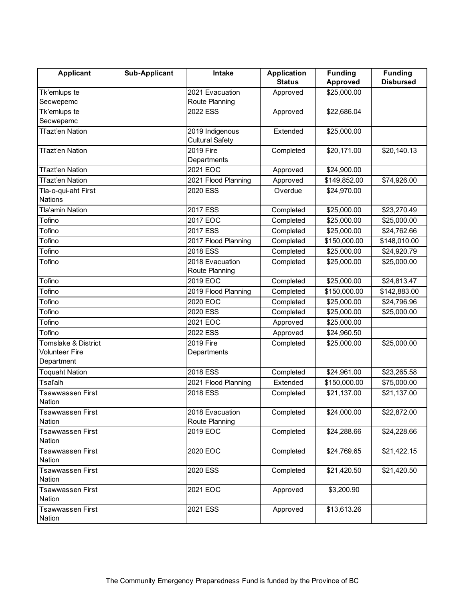| <b>Applicant</b>                                    | <b>Sub-Applicant</b> | Intake                            | <b>Application</b><br><b>Status</b> | <b>Funding</b>  | <b>Funding</b><br><b>Disbursed</b> |
|-----------------------------------------------------|----------------------|-----------------------------------|-------------------------------------|-----------------|------------------------------------|
|                                                     |                      |                                   |                                     | <b>Approved</b> |                                    |
| Tk'emlups te<br>Secwepemc                           |                      | 2021 Evacuation<br>Route Planning | Approved                            | \$25,000.00     |                                    |
| Tk'emlups te                                        |                      | 2022 ESS                          | Approved                            | \$22,686.04     |                                    |
| Secwepemc                                           |                      |                                   |                                     |                 |                                    |
| Tl'azt'en Nation                                    |                      | 2019 Indigenous                   | Extended                            | \$25,000.00     |                                    |
|                                                     |                      | <b>Cultural Safety</b>            |                                     |                 |                                    |
| Tľazťen Nation                                      |                      | 2019 Fire<br>Departments          | Completed                           | \$20,171.00     | \$20,140.13                        |
| Tľazťen Nation                                      |                      | 2021 EOC                          | Approved                            | \$24,900.00     |                                    |
| Tl'azt'en Nation                                    |                      | 2021 Flood Planning               | Approved                            | \$149,852.00    | \$74,926.00                        |
| Tla-o-qui-aht First<br><b>Nations</b>               |                      | 2020 ESS                          | Overdue                             | \$24,970.00     |                                    |
| <b>Tla'amin Nation</b>                              |                      | 2017 ESS                          | Completed                           | \$25,000.00     | \$23,270.49                        |
| Tofino                                              |                      | 2017 EOC                          | Completed                           | \$25,000.00     | \$25,000.00                        |
| Tofino                                              |                      | 2017 ESS                          | Completed                           | \$25,000.00     | \$24,762.66                        |
| Tofino                                              |                      | 2017 Flood Planning               | Completed                           | \$150,000.00    | \$148,010.00                       |
| Tofino                                              |                      | 2018 ESS                          | Completed                           | \$25,000.00     | \$24,920.79                        |
| Tofino                                              |                      | 2018 Evacuation<br>Route Planning | Completed                           | \$25,000.00     | \$25,000.00                        |
| Tofino                                              |                      | 2019 EOC                          | Completed                           | \$25,000.00     | \$24,813.47                        |
| Tofino                                              |                      | 2019 Flood Planning               | Completed                           | \$150,000.00    | \$142,883.00                       |
| Tofino                                              |                      | 2020 EOC                          | Completed                           | \$25,000.00     | \$24,796.96                        |
| Tofino                                              |                      | 2020 ESS                          | Completed                           | \$25,000.00     | \$25,000.00                        |
| Tofino                                              |                      | 2021 EOC                          | Approved                            | \$25,000.00     |                                    |
| Tofino                                              |                      | 2022 ESS                          | Approved                            | \$24,960.50     |                                    |
| Tomslake & District<br>Volunteer Fire<br>Department |                      | 2019 Fire<br>Departments          | Completed                           | \$25,000.00     | \$25,000.00                        |
| <b>Toquaht Nation</b>                               |                      | 2018 ESS                          | Completed                           | \$24,961.00     | \$23,265.58                        |
| Tsaľalh                                             |                      | 2021 Flood Planning               | Extended                            | \$150,000.00    | \$75,000.00                        |
| Tsawwassen First<br>Nation                          |                      | 2018 ESS                          | Completed                           | \$21,137.00     | \$21,137.00                        |
| <b>Tsawwassen First</b><br>Nation                   |                      | 2018 Evacuation<br>Route Planning | Completed                           | \$24,000.00     | \$22,872.00                        |
| <b>Tsawwassen First</b><br>Nation                   |                      | 2019 EOC                          | Completed                           | \$24,288.66     | \$24,228.66                        |
| <b>Tsawwassen First</b><br>Nation                   |                      | 2020 EOC                          | Completed                           | \$24,769.65     | \$21,422.15                        |
| <b>Tsawwassen First</b><br>Nation                   |                      | 2020 ESS                          | Completed                           | \$21,420.50     | \$21,420.50                        |
| <b>Tsawwassen First</b><br>Nation                   |                      | 2021 EOC                          | Approved                            | \$3,200.90      |                                    |
| <b>Tsawwassen First</b><br>Nation                   |                      | 2021 ESS                          | Approved                            | \$13,613.26     |                                    |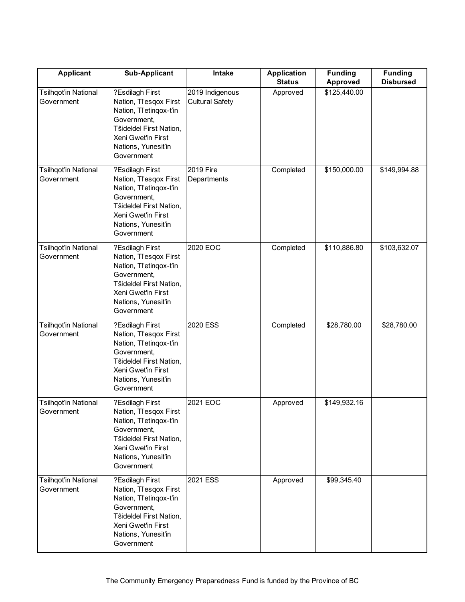| <b>Applicant</b>                          | <b>Sub-Applicant</b>                                                                                                                                                      | Intake                                    | <b>Application</b><br><b>Status</b> | <b>Funding</b><br><b>Approved</b> | <b>Funding</b><br><b>Disbursed</b> |
|-------------------------------------------|---------------------------------------------------------------------------------------------------------------------------------------------------------------------------|-------------------------------------------|-------------------------------------|-----------------------------------|------------------------------------|
| <b>Tsilhqot'in National</b><br>Government | ?Esdilagh First<br>Nation, Tl'esqox First<br>Nation, Tl'etinqox-t'in<br>Government,<br>Tŝideldel First Nation,<br>Xeni Gwet'in First<br>Nations, Yunesit'in<br>Government | 2019 Indigenous<br><b>Cultural Safety</b> | Approved                            | \$125,440.00                      |                                    |
| <b>Tsilhqot'in National</b><br>Government | ?Esdilagh First<br>Nation, Tl'esqox First<br>Nation, Tl'etinqox-t'in<br>Government,<br>Tŝideldel First Nation,<br>Xeni Gwet'in First<br>Nations, Yunesit'in<br>Government | 2019 Fire<br>Departments                  | Completed                           | \$150,000.00                      | \$149,994.88                       |
| <b>Tsilhqot'in National</b><br>Government | ?Esdilagh First<br>Nation, Tl'esqox First<br>Nation, Tl'etinqox-t'in<br>Government,<br>Tŝideldel First Nation,<br>Xeni Gwet'in First<br>Nations, Yunesit'in<br>Government | 2020 EOC                                  | Completed                           | \$110,886.80                      | \$103,632.07                       |
| <b>Tsilhqot'in National</b><br>Government | ?Esdilagh First<br>Nation, Tl'esqox First<br>Nation, Tl'etinqox-t'in<br>Government,<br>Tŝideldel First Nation,<br>Xeni Gwet'in First<br>Nations, Yunesit'in<br>Government | 2020 ESS                                  | Completed                           | \$28,780.00                       | \$28,780.00                        |
| <b>Tsilhqot'in National</b><br>Government | ?Esdilagh First<br>Nation, Tl'esqox First<br>Nation, Tl'etinqox-t'in<br>Government,<br>Tŝideldel First Nation,<br>Xeni Gwet'in First<br>Nations, Yunesit'in<br>Government | 2021 EOC                                  | Approved                            | \$149,932.16                      |                                    |
| <b>Tsilhqot'in National</b><br>Government | ?Esdilagh First<br>Nation, Tl'esqox First<br>Nation, Tl'etinqox-t'in<br>Government,<br>Tŝideldel First Nation,<br>Xeni Gwet'in First<br>Nations, Yunesit'in<br>Government | 2021 ESS                                  | Approved                            | \$99,345.40                       |                                    |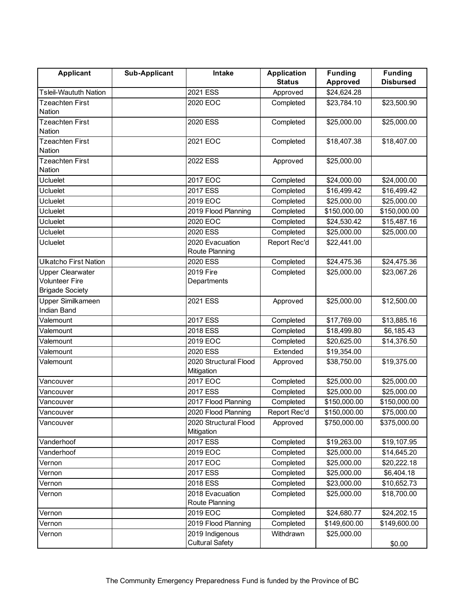| <b>Applicant</b>                 | <b>Sub-Applicant</b> | Intake                              | <b>Application</b> | <b>Funding</b> | <b>Funding</b>   |
|----------------------------------|----------------------|-------------------------------------|--------------------|----------------|------------------|
|                                  |                      |                                     | <b>Status</b>      | Approved       | <b>Disbursed</b> |
| <b>Tsleil-Waututh Nation</b>     |                      | 2021 ESS                            | Approved           | \$24,624.28    |                  |
| <b>Tzeachten First</b>           |                      | 2020 EOC                            | Completed          | \$23,784.10    | \$23,500.90      |
| Nation                           |                      |                                     |                    |                |                  |
| <b>Tzeachten First</b>           |                      | 2020 ESS                            | Completed          | \$25,000.00    | \$25,000.00      |
| Nation                           |                      |                                     |                    |                |                  |
| <b>Tzeachten First</b>           |                      | 2021 EOC                            | Completed          | \$18,407.38    | \$18,407.00      |
| Nation                           |                      |                                     |                    |                |                  |
| <b>Tzeachten First</b><br>Nation |                      | 2022 ESS                            | Approved           | \$25,000.00    |                  |
| <b>Ucluelet</b>                  |                      | 2017 EOC                            | Completed          | \$24,000.00    | \$24,000.00      |
|                                  |                      |                                     |                    |                |                  |
| <b>Ucluelet</b>                  |                      | 2017 ESS                            | Completed          | \$16,499.42    | \$16,499.42      |
| Ucluelet                         |                      | 2019 EOC                            | Completed          | \$25,000.00    | \$25,000.00      |
| <b>Ucluelet</b>                  |                      | 2019 Flood Planning                 | Completed          | \$150,000.00   | \$150,000.00     |
| <b>Ucluelet</b>                  |                      | 2020 EOC                            | Completed          | \$24,530.42    | \$15,487.16      |
| Ucluelet                         |                      | 2020 ESS                            | Completed          | \$25,000.00    | \$25,000.00      |
| <b>Ucluelet</b>                  |                      | 2020 Evacuation<br>Route Planning   | Report Rec'd       | \$22,441.00    |                  |
| Ulkatcho First Nation            |                      | 2020 ESS                            | Completed          | \$24,475.36    | \$24,475.36      |
| <b>Upper Clearwater</b>          |                      | 2019 Fire                           | Completed          | \$25,000.00    | \$23,067.26      |
| <b>Volunteer Fire</b>            |                      | Departments                         |                    |                |                  |
| <b>Brigade Society</b>           |                      |                                     |                    |                |                  |
| Upper Similkameen                |                      | 2021 ESS                            | Approved           | \$25,000.00    | \$12,500.00      |
| Indian Band                      |                      |                                     |                    |                |                  |
| Valemount                        |                      | 2017 ESS                            | Completed          | \$17,769.00    | \$13,885.16      |
| Valemount                        |                      | 2018 ESS                            | Completed          | \$18,499.80    | \$6,185.43       |
| Valemount                        |                      | 2019 EOC                            | Completed          | \$20,625.00    | \$14,376.50      |
| Valemount                        |                      | 2020 ESS                            | Extended           | \$19,354.00    |                  |
| Valemount                        |                      | 2020 Structural Flood<br>Mitigation | Approved           | \$38,750.00    | \$19,375.00      |
| Vancouver                        |                      | 2017 EOC                            | Completed          | \$25,000.00    | \$25,000.00      |
| Vancouver                        |                      | 2017 ESS                            | Completed          | \$25,000.00    | \$25,000.00      |
| Vancouver                        |                      | 2017 Flood Planning                 | Completed          | \$150,000.00   | \$150,000.00     |
| Vancouver                        |                      | 2020 Flood Planning                 | Report Rec'd       | \$150,000.00   | \$75,000.00      |
| Vancouver                        |                      | 2020 Structural Flood<br>Mitigation | Approved           | \$750,000.00   | \$375,000.00     |
| Vanderhoof                       |                      | 2017 ESS                            | Completed          | \$19,263.00    | \$19,107.95      |
| Vanderhoof                       |                      | 2019 EOC                            | Completed          | \$25,000.00    | \$14,645.20      |
| Vernon                           |                      | 2017 EOC                            | Completed          | \$25,000.00    | \$20,222.18      |
| Vernon                           |                      | 2017 ESS                            | Completed          | \$25,000.00    | \$6,404.18       |
| Vernon                           |                      | 2018 ESS                            | Completed          | \$23,000.00    | \$10,652.73      |
| Vernon                           |                      | 2018 Evacuation                     | Completed          | \$25,000.00    | \$18,700.00      |
|                                  |                      | Route Planning                      |                    |                |                  |
| Vernon                           |                      | 2019 EOC                            | Completed          | \$24,680.77    | \$24,202.15      |
| Vernon                           |                      | 2019 Flood Planning                 | Completed          | \$149,600.00   | \$149,600.00     |
| Vernon                           |                      | 2019 Indigenous                     | Withdrawn          | \$25,000.00    |                  |
|                                  |                      | <b>Cultural Safety</b>              |                    |                | \$0.00           |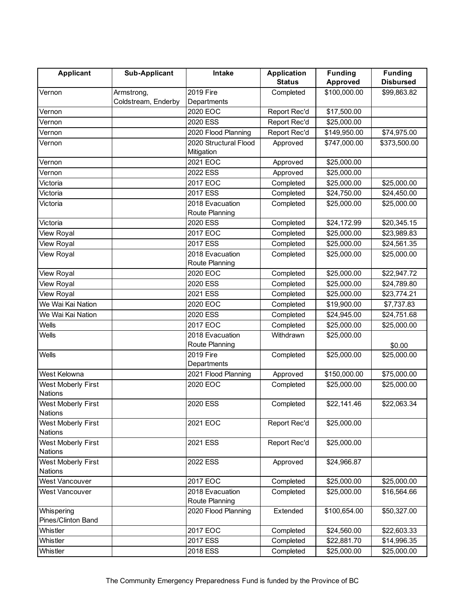| <b>Applicant</b>                            | <b>Sub-Applicant</b>              | <b>Intake</b>                     | <b>Application</b> | <b>Funding</b>  | <b>Funding</b>   |
|---------------------------------------------|-----------------------------------|-----------------------------------|--------------------|-----------------|------------------|
|                                             |                                   |                                   | <b>Status</b>      | <b>Approved</b> | <b>Disbursed</b> |
| Vernon                                      | Armstrong,<br>Coldstream, Enderby | 2019 Fire<br>Departments          | Completed          | \$100,000.00    | \$99,863.82      |
| Vernon                                      |                                   | 2020 EOC                          | Report Rec'd       | \$17,500.00     |                  |
| Vernon                                      |                                   | 2020 ESS                          | Report Rec'd       | \$25,000.00     |                  |
| Vernon                                      |                                   | 2020 Flood Planning               | Report Rec'd       | \$149,950.00    | \$74,975.00      |
| Vernon                                      |                                   | 2020 Structural Flood             | Approved           | \$747,000.00    | \$373,500.00     |
|                                             |                                   | Mitigation                        |                    |                 |                  |
| Vernon                                      |                                   | 2021 EOC                          | Approved           | \$25,000.00     |                  |
| Vernon                                      |                                   | 2022 ESS                          | Approved           | \$25,000.00     |                  |
| Victoria                                    |                                   | 2017 EOC                          | Completed          | \$25,000.00     | \$25,000.00      |
| Victoria                                    |                                   | 2017 ESS                          | Completed          | \$24,750.00     | \$24,450.00      |
| Victoria                                    |                                   | 2018 Evacuation<br>Route Planning | Completed          | \$25,000.00     | \$25,000.00      |
| Victoria                                    |                                   | 2020 ESS                          | Completed          | \$24,172.99     | \$20,345.15      |
| View Royal                                  |                                   | 2017 EOC                          | Completed          | \$25,000.00     | \$23,989.83      |
| View Royal                                  |                                   | 2017 ESS                          | Completed          | \$25,000.00     | \$24,561.35      |
| View Royal                                  |                                   | 2018 Evacuation<br>Route Planning | Completed          | \$25,000.00     | \$25,000.00      |
| View Royal                                  |                                   | 2020 EOC                          | Completed          | \$25,000.00     | \$22,947.72      |
| View Royal                                  |                                   | 2020 ESS                          | Completed          | \$25,000.00     | \$24,789.80      |
| View Royal                                  |                                   | 2021 ESS                          | Completed          | \$25,000.00     | \$23,774.21      |
| We Wai Kai Nation                           |                                   | 2020 EOC                          | Completed          | \$19,900.00     | \$7,737.83       |
| We Wai Kai Nation                           |                                   | 2020 ESS                          | Completed          | \$24,945.00     | \$24,751.68      |
| Wells                                       |                                   | 2017 EOC                          | Completed          | \$25,000.00     | \$25,000.00      |
| Wells                                       |                                   | 2018 Evacuation<br>Route Planning | Withdrawn          | \$25,000.00     | \$0.00           |
| Wells                                       |                                   | 2019 Fire<br>Departments          | Completed          | \$25,000.00     | \$25,000.00      |
| West Kelowna                                |                                   | 2021 Flood Planning               | Approved           | \$150,000.00    | \$75,000.00      |
| West Moberly First<br><b>Nations</b>        |                                   | 2020 EOC                          | Completed          | \$25,000.00     | \$25,000.00      |
| <b>West Moberly First</b><br><b>Nations</b> |                                   | 2020 ESS                          | Completed          | \$22,141.46     | \$22,063.34      |
| West Moberly First<br><b>Nations</b>        |                                   | 2021 EOC                          | Report Rec'd       | \$25,000.00     |                  |
| West Moberly First<br><b>Nations</b>        |                                   | 2021 ESS                          | Report Rec'd       | \$25,000.00     |                  |
| West Moberly First<br><b>Nations</b>        |                                   | 2022 ESS                          | Approved           | \$24,966.87     |                  |
| <b>West Vancouver</b>                       |                                   | 2017 EOC                          | Completed          | \$25,000.00     | \$25,000.00      |
| West Vancouver                              |                                   | 2018 Evacuation<br>Route Planning | Completed          | \$25,000.00     | \$16,564.66      |
| Whispering                                  |                                   | 2020 Flood Planning               | Extended           | \$100,654.00    | \$50,327.00      |
| Pines/Clinton Band                          |                                   |                                   |                    |                 |                  |
| Whistler                                    |                                   | 2017 EOC                          | Completed          | \$24,560.00     | \$22,603.33      |
| Whistler                                    |                                   | 2017 ESS                          | Completed          | \$22,881.70     | \$14,996.35      |
| Whistler                                    |                                   | 2018 ESS                          | Completed          | \$25,000.00     | \$25,000.00      |